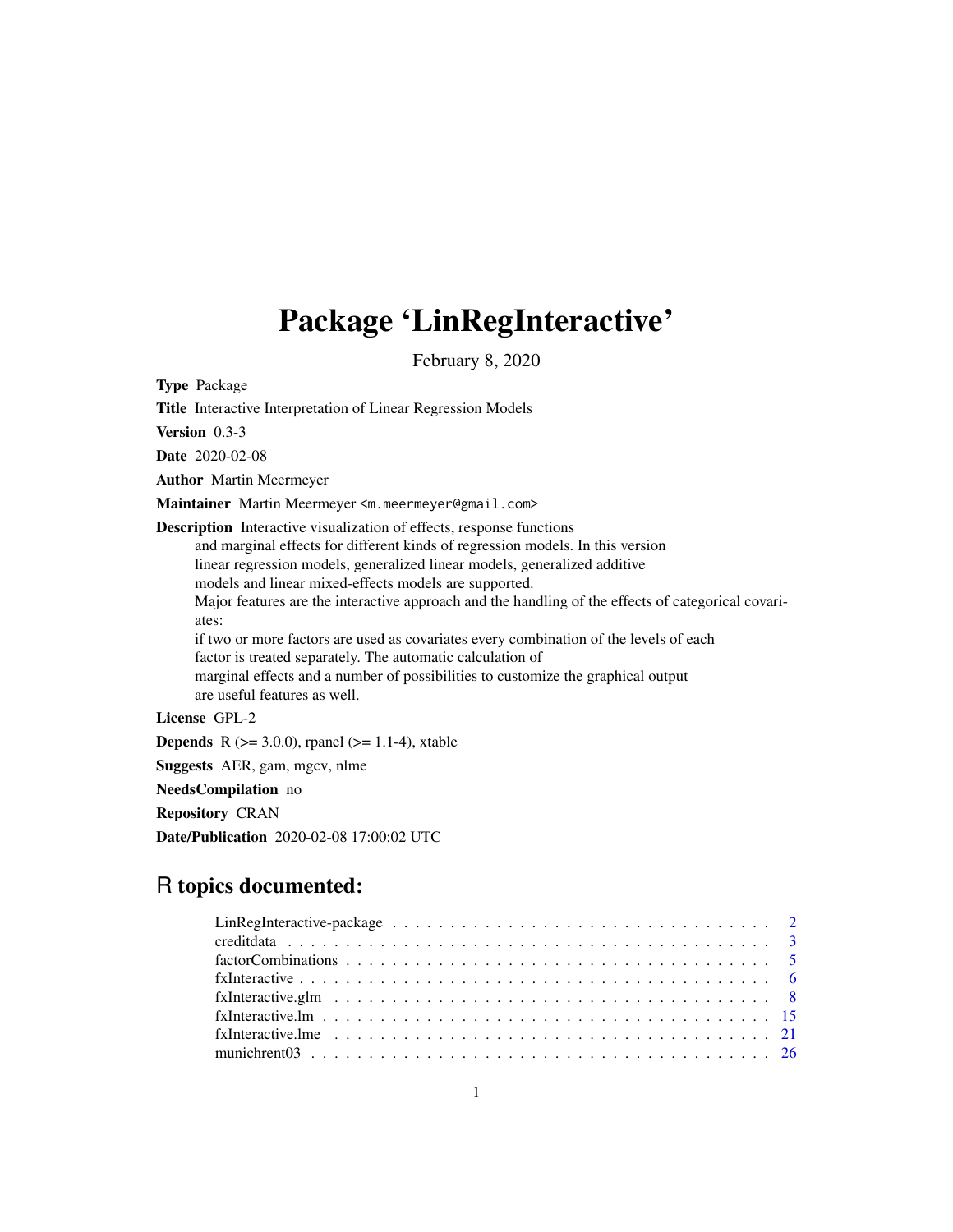# Package 'LinRegInteractive'

February 8, 2020

<span id="page-0-0"></span>Type Package

Title Interactive Interpretation of Linear Regression Models

Version 0.3-3

Date 2020-02-08

Author Martin Meermeyer

Maintainer Martin Meermeyer <m.meermeyer@gmail.com>

Description Interactive visualization of effects, response functions

and marginal effects for different kinds of regression models. In this version linear regression models, generalized linear models, generalized additive models and linear mixed-effects models are supported.

Major features are the interactive approach and the handling of the effects of categorical covariates:

if two or more factors are used as covariates every combination of the levels of each factor is treated separately. The automatic calculation of marginal effects and a number of possibilities to customize the graphical output are useful features as well.

License GPL-2

**Depends** R ( $>= 3.0.0$ ), rpanel ( $>= 1.1-4$ ), xtable

Suggests AER, gam, mgcv, nlme

NeedsCompilation no

Repository CRAN

Date/Publication 2020-02-08 17:00:02 UTC

# R topics documented: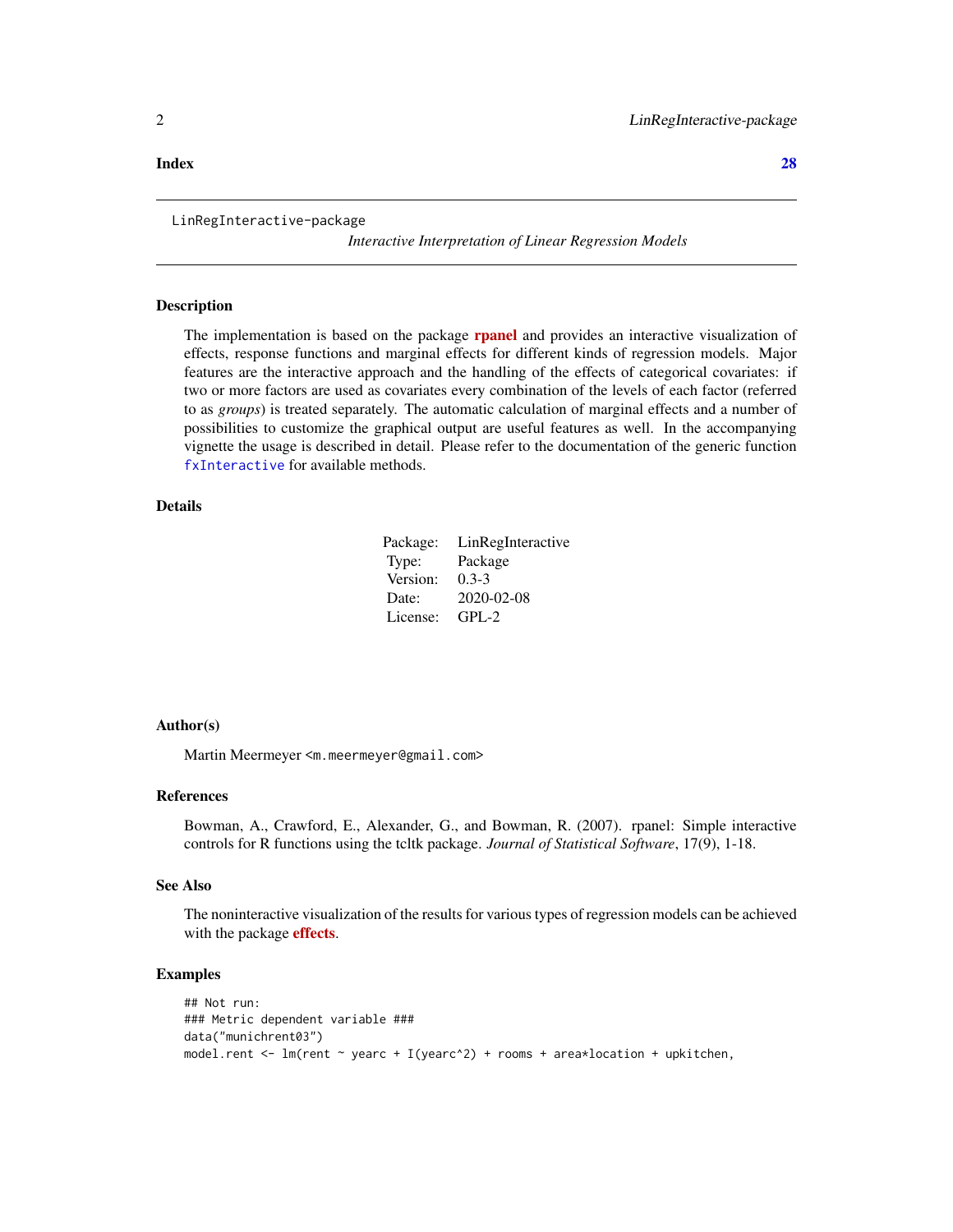LinRegInteractive-package

*Interactive Interpretation of Linear Regression Models*

# Description

The implementation is based on the package **[rpanel](https://CRAN.R-project.org/package=rpanel)** and provides an interactive visualization of effects, response functions and marginal effects for different kinds of regression models. Major features are the interactive approach and the handling of the effects of categorical covariates: if two or more factors are used as covariates every combination of the levels of each factor (referred to as *groups*) is treated separately. The automatic calculation of marginal effects and a number of possibilities to customize the graphical output are useful features as well. In the accompanying vignette the usage is described in detail. Please refer to the documentation of the generic function [fxInteractive](#page-5-1) for available methods.

# Details

| Package: | LinRegInteractive |
|----------|-------------------|
| Type:    | Package           |
| Version: | $0.3 - 3$         |
| Date:    | 2020-02-08        |
| License: | $GPI - 2$         |

# Author(s)

Martin Meermeyer <m.meermeyer@gmail.com>

### References

Bowman, A., Crawford, E., Alexander, G., and Bowman, R. (2007). rpanel: Simple interactive controls for R functions using the tcltk package. *Journal of Statistical Software*, 17(9), 1-18.

# See Also

The noninteractive visualization of the results for various types of regression models can be achieved with the package **[effects](https://CRAN.R-project.org/package=effects)**.

# Examples

```
## Not run:
### Metric dependent variable ###
data("munichrent03")
model.rent <- lm(rent ~ yearc + I(yearc^2) + rooms + area*location + upkitchen,
```
#### <span id="page-1-0"></span>**Index** [28](#page-27-0) and 2012, the contract of the contract of the contract of the contract of the contract of the contract of the contract of the contract of the contract of the contract of the contract of the contract of the contr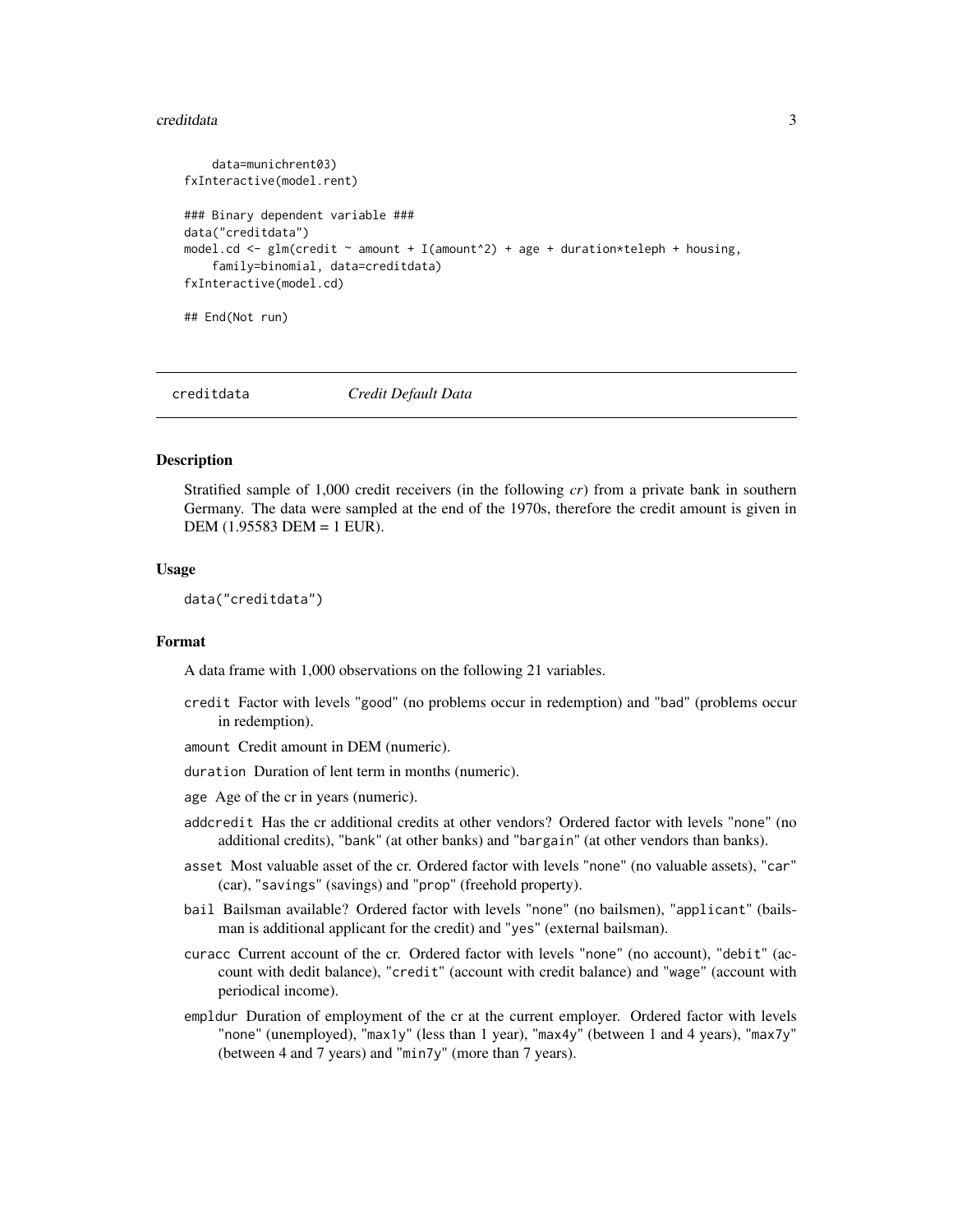#### <span id="page-2-0"></span>creditdata 3

```
data=munichrent03)
fxInteractive(model.rent)
### Binary dependent variable ###
data("creditdata")
model.cd \leq glm(credit \sim amount + I(amount<sup>2</sup>) + age + duration*teleph + housing,
    family=binomial, data=creditdata)
fxInteractive(model.cd)
## End(Not run)
```
creditdata *Credit Default Data*

# **Description**

Stratified sample of 1,000 credit receivers (in the following *cr*) from a private bank in southern Germany. The data were sampled at the end of the 1970s, therefore the credit amount is given in DEM (1.95583 DEM = 1 EUR).

#### Usage

data("creditdata")

# Format

A data frame with 1,000 observations on the following 21 variables.

- credit Factor with levels "good" (no problems occur in redemption) and "bad" (problems occur in redemption).
- amount Credit amount in DEM (numeric).
- duration Duration of lent term in months (numeric).
- age Age of the cr in years (numeric).
- addcredit Has the cr additional credits at other vendors? Ordered factor with levels "none" (no additional credits), "bank" (at other banks) and "bargain" (at other vendors than banks).
- asset Most valuable asset of the cr. Ordered factor with levels "none" (no valuable assets), "car" (car), "savings" (savings) and "prop" (freehold property).
- bail Bailsman available? Ordered factor with levels "none" (no bailsmen), "applicant" (bailsman is additional applicant for the credit) and "yes" (external bailsman).
- curacc Current account of the cr. Ordered factor with levels "none" (no account), "debit" (account with dedit balance), "credit" (account with credit balance) and "wage" (account with periodical income).
- empldur Duration of employment of the cr at the current employer. Ordered factor with levels "none" (unemployed), "max1y" (less than 1 year), "max4y" (between 1 and 4 years), "max7y" (between 4 and 7 years) and "min7y" (more than 7 years).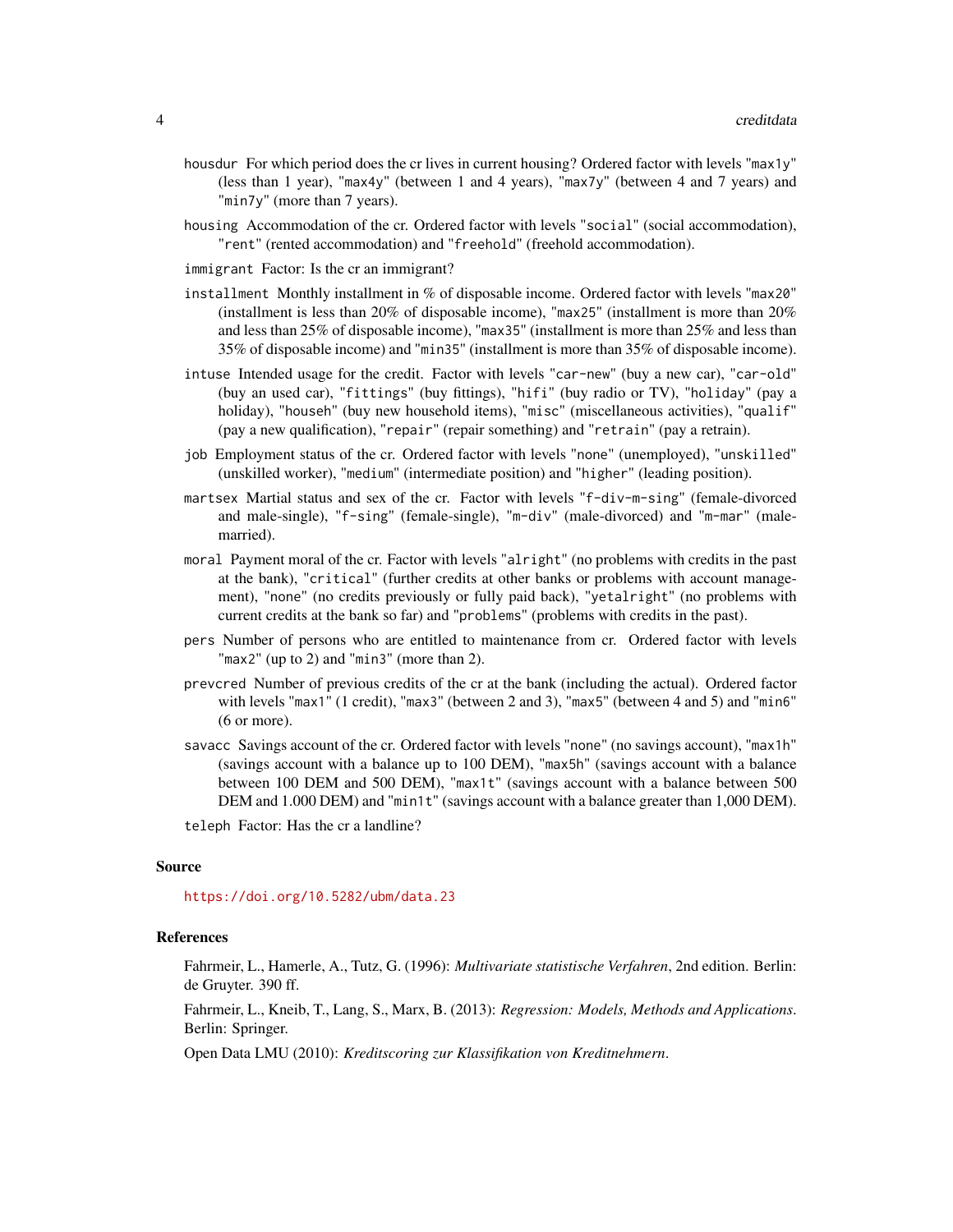- housdur For which period does the cr lives in current housing? Ordered factor with levels "max1y" (less than 1 year), "max4y" (between 1 and 4 years), "max7y" (between 4 and 7 years) and "min7y" (more than 7 years).
- housing Accommodation of the cr. Ordered factor with levels "social" (social accommodation), "rent" (rented accommodation) and "freehold" (freehold accommodation).
- immigrant Factor: Is the cr an immigrant?
- installment Monthly installment in % of disposable income. Ordered factor with levels "max20" (installment is less than 20% of disposable income), "max25" (installment is more than  $20\%$ and less than 25% of disposable income), "max35" (installment is more than 25% and less than 35% of disposable income) and "min35" (installment is more than 35% of disposable income).
- intuse Intended usage for the credit. Factor with levels "car-new" (buy a new car), "car-old" (buy an used car), "fittings" (buy fittings), "hifi" (buy radio or TV), "holiday" (pay a holiday), "househ" (buy new household items), "misc" (miscellaneous activities), "qualif" (pay a new qualification), "repair" (repair something) and "retrain" (pay a retrain).
- job Employment status of the cr. Ordered factor with levels "none" (unemployed), "unskilled" (unskilled worker), "medium" (intermediate position) and "higher" (leading position).
- martsex Martial status and sex of the cr. Factor with levels "f-div-m-sing" (female-divorced and male-single), "f-sing" (female-single), "m-div" (male-divorced) and "m-mar" (malemarried).
- moral Payment moral of the cr. Factor with levels "alright" (no problems with credits in the past at the bank), "critical" (further credits at other banks or problems with account management), "none" (no credits previously or fully paid back), "yetalright" (no problems with current credits at the bank so far) and "problems" (problems with credits in the past).
- pers Number of persons who are entitled to maintenance from cr. Ordered factor with levels "max2" (up to 2) and "min3" (more than 2).
- prevcred Number of previous credits of the cr at the bank (including the actual). Ordered factor with levels "max1" (1 credit), "max3" (between 2 and 3), "max5" (between 4 and 5) and "min6" (6 or more).
- savacc Savings account of the cr. Ordered factor with levels "none" (no savings account), "max1h" (savings account with a balance up to 100 DEM), "max5h" (savings account with a balance between 100 DEM and 500 DEM), "max1t" (savings account with a balance between 500 DEM and 1.000 DEM) and "min1t" (savings account with a balance greater than 1,000 DEM).

teleph Factor: Has the cr a landline?

#### Source

<https://doi.org/10.5282/ubm/data.23>

# References

Fahrmeir, L., Hamerle, A., Tutz, G. (1996): *Multivariate statistische Verfahren*, 2nd edition. Berlin: de Gruyter. 390 ff.

Fahrmeir, L., Kneib, T., Lang, S., Marx, B. (2013): *Regression: Models, Methods and Applications*. Berlin: Springer.

Open Data LMU (2010): *Kreditscoring zur Klassifikation von Kreditnehmern*.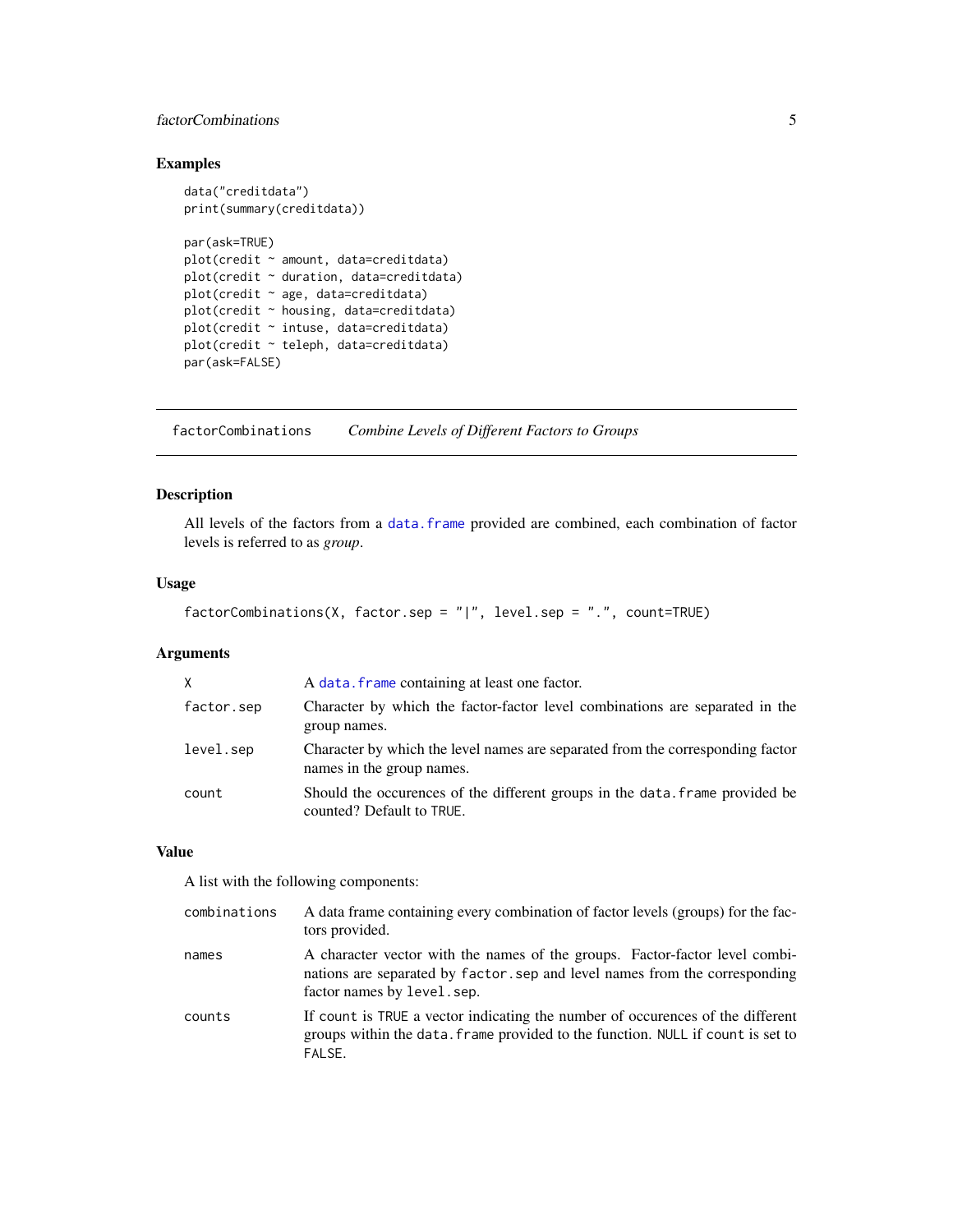# <span id="page-4-0"></span>factorCombinations 5

# Examples

```
data("creditdata")
print(summary(creditdata))
par(ask=TRUE)
plot(credit ~ amount, data=creditdata)
plot(credit ~ duration, data=creditdata)
plot(credit ~ age, data=creditdata)
plot(credit ~ housing, data=creditdata)
plot(credit ~ intuse, data=creditdata)
plot(credit ~ teleph, data=creditdata)
par(ask=FALSE)
```
factorCombinations *Combine Levels of Different Factors to Groups*

# Description

All levels of the factors from a [data.frame](#page-0-0) provided are combined, each combination of factor levels is referred to as *group*.

# Usage

```
factorCombinations(X, factor.sep = "|", level.sep = ".", count=TRUE)
```
# Arguments

| $\times$   | A data. frame containing at least one factor.                                                               |
|------------|-------------------------------------------------------------------------------------------------------------|
| factor.sep | Character by which the factor-factor level combinations are separated in the<br>group names.                |
| level.sep  | Character by which the level names are separated from the corresponding factor<br>names in the group names. |
| count      | Should the occurences of the different groups in the data. frame provided be<br>counted? Default to TRUE.   |

# Value

A list with the following components:

| combinations | A data frame containing every combination of factor levels (groups) for the fac-<br>tors provided.                                                                                       |
|--------------|------------------------------------------------------------------------------------------------------------------------------------------------------------------------------------------|
| names        | A character vector with the names of the groups. Factor-factor level combi-<br>nations are separated by factor sep and level names from the corresponding<br>factor names by level, sep. |
| counts       | If count is TRUE a vector indicating the number of occurences of the different<br>groups within the data. Frame provided to the function. NULL if count is set to<br>FALSE.              |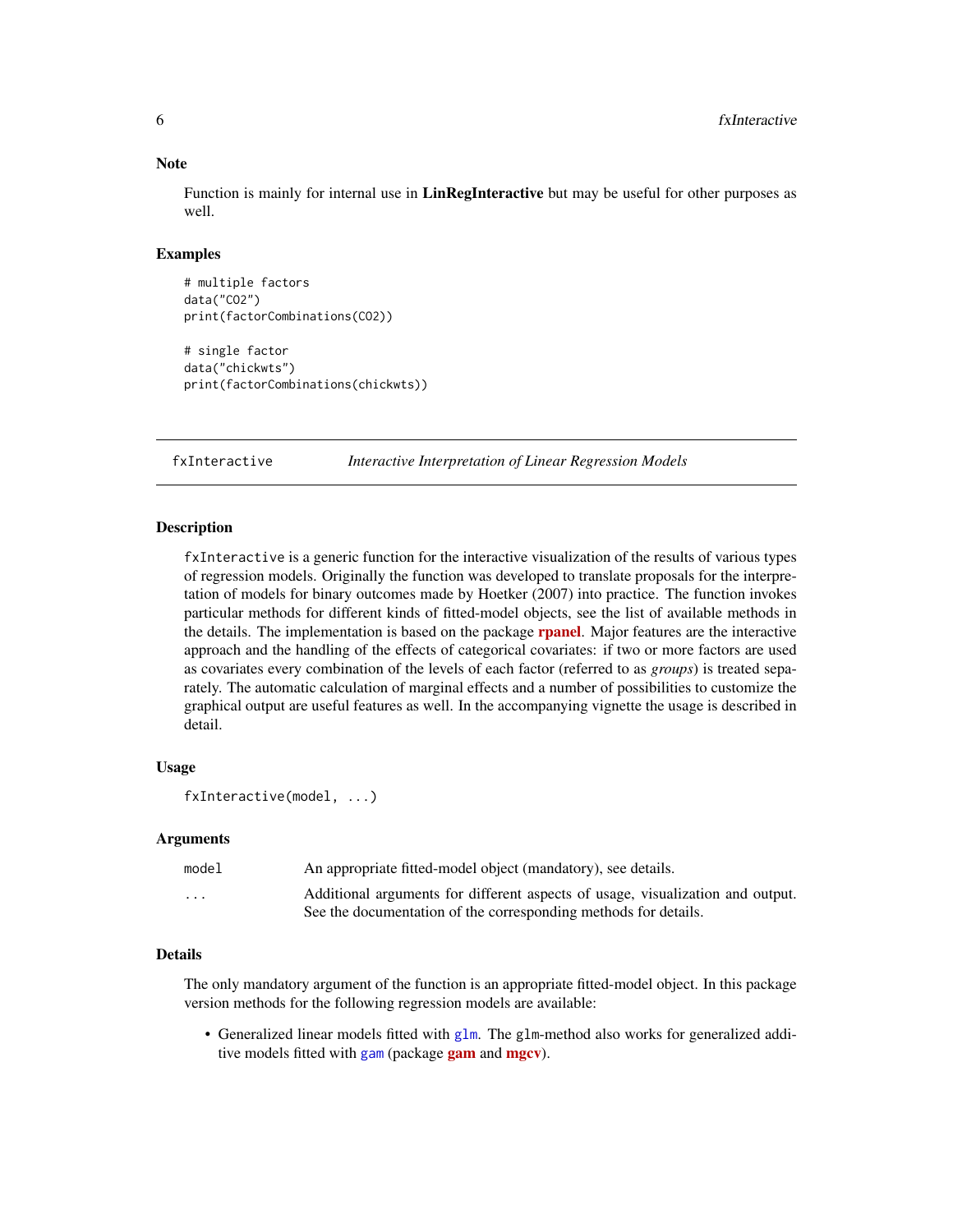#### **Note**

Function is mainly for internal use in **LinRegInteractive** but may be useful for other purposes as well.

# Examples

```
# multiple factors
data("CO2")
print(factorCombinations(CO2))
# single factor
data("chickwts")
print(factorCombinations(chickwts))
```
<span id="page-5-1"></span>fxInteractive *Interactive Interpretation of Linear Regression Models*

# Description

fxInteractive is a generic function for the interactive visualization of the results of various types of regression models. Originally the function was developed to translate proposals for the interpretation of models for binary outcomes made by Hoetker (2007) into practice. The function invokes particular methods for different kinds of fitted-model objects, see the list of available methods in the details. The implementation is based on the package **[rpanel](https://CRAN.R-project.org/package=rpanel)**. Major features are the interactive approach and the handling of the effects of categorical covariates: if two or more factors are used as covariates every combination of the levels of each factor (referred to as *groups*) is treated separately. The automatic calculation of marginal effects and a number of possibilities to customize the graphical output are useful features as well. In the accompanying vignette the usage is described in detail.

# Usage

```
fxInteractive(model, ...)
```
# Arguments

| model   | An appropriate fitted-model object (mandatory), see details.                   |
|---------|--------------------------------------------------------------------------------|
| $\cdot$ | Additional arguments for different aspects of usage, visualization and output. |
|         | See the documentation of the corresponding methods for details.                |

# Details

The only mandatory argument of the function is an appropriate fitted-model object. In this package version methods for the following regression models are available:

• Generalized linear models fitted with [glm](#page-0-0). The glm-method also works for generalized additive models fitted with [gam](https://CRAN.R-project.org/package=gam) (package gam and [mgcv](https://CRAN.R-project.org/package=mgcv)).

<span id="page-5-0"></span>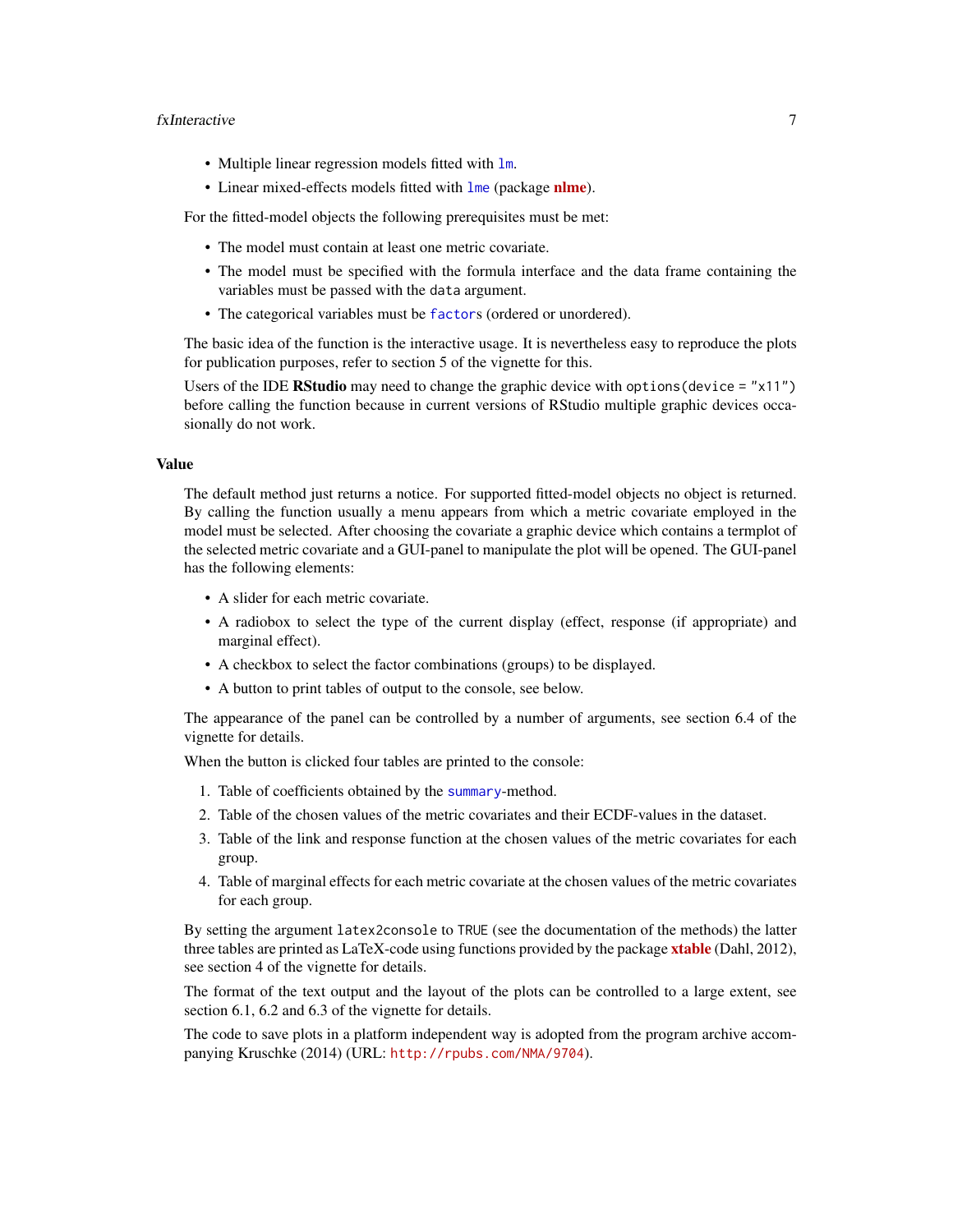#### <span id="page-6-0"></span>fxInteractive 7

- Multiple linear regression models fitted with [lm](#page-0-0).
- Linear mixed-effects models fitted with [lme](#page-0-0) (package [nlme](https://CRAN.R-project.org/package=nlme)).

For the fitted-model objects the following prerequisites must be met:

- The model must contain at least one metric covariate.
- The model must be specified with the formula interface and the data frame containing the variables must be passed with the data argument.
- The categorical variables must be [factor](#page-0-0)s (ordered or unordered).

The basic idea of the function is the interactive usage. It is nevertheless easy to reproduce the plots for publication purposes, refer to section 5 of the vignette for this.

Users of the IDE RStudio may need to change the graphic device with options (device = "x11") before calling the function because in current versions of RStudio multiple graphic devices occasionally do not work.

#### Value

The default method just returns a notice. For supported fitted-model objects no object is returned. By calling the function usually a menu appears from which a metric covariate employed in the model must be selected. After choosing the covariate a graphic device which contains a termplot of the selected metric covariate and a GUI-panel to manipulate the plot will be opened. The GUI-panel has the following elements:

- A slider for each metric covariate.
- A radiobox to select the type of the current display (effect, response (if appropriate) and marginal effect).
- A checkbox to select the factor combinations (groups) to be displayed.
- A button to print tables of output to the console, see below.

The appearance of the panel can be controlled by a number of arguments, see section 6.4 of the vignette for details.

When the button is clicked four tables are printed to the console:

- 1. Table of coefficients obtained by the [summary](#page-0-0)-method.
- 2. Table of the chosen values of the metric covariates and their ECDF-values in the dataset.
- 3. Table of the link and response function at the chosen values of the metric covariates for each group.
- 4. Table of marginal effects for each metric covariate at the chosen values of the metric covariates for each group.

By setting the argument latex2console to TRUE (see the documentation of the methods) the latter three tables are printed as LaTeX-code using functions provided by the package [xtable](https://CRAN.R-project.org/package=xtable) (Dahl, 2012), see section 4 of the vignette for details.

The format of the text output and the layout of the plots can be controlled to a large extent, see section 6.1, 6.2 and 6.3 of the vignette for details.

The code to save plots in a platform independent way is adopted from the program archive accompanying Kruschke (2014) (URL: <http://rpubs.com/NMA/9704>).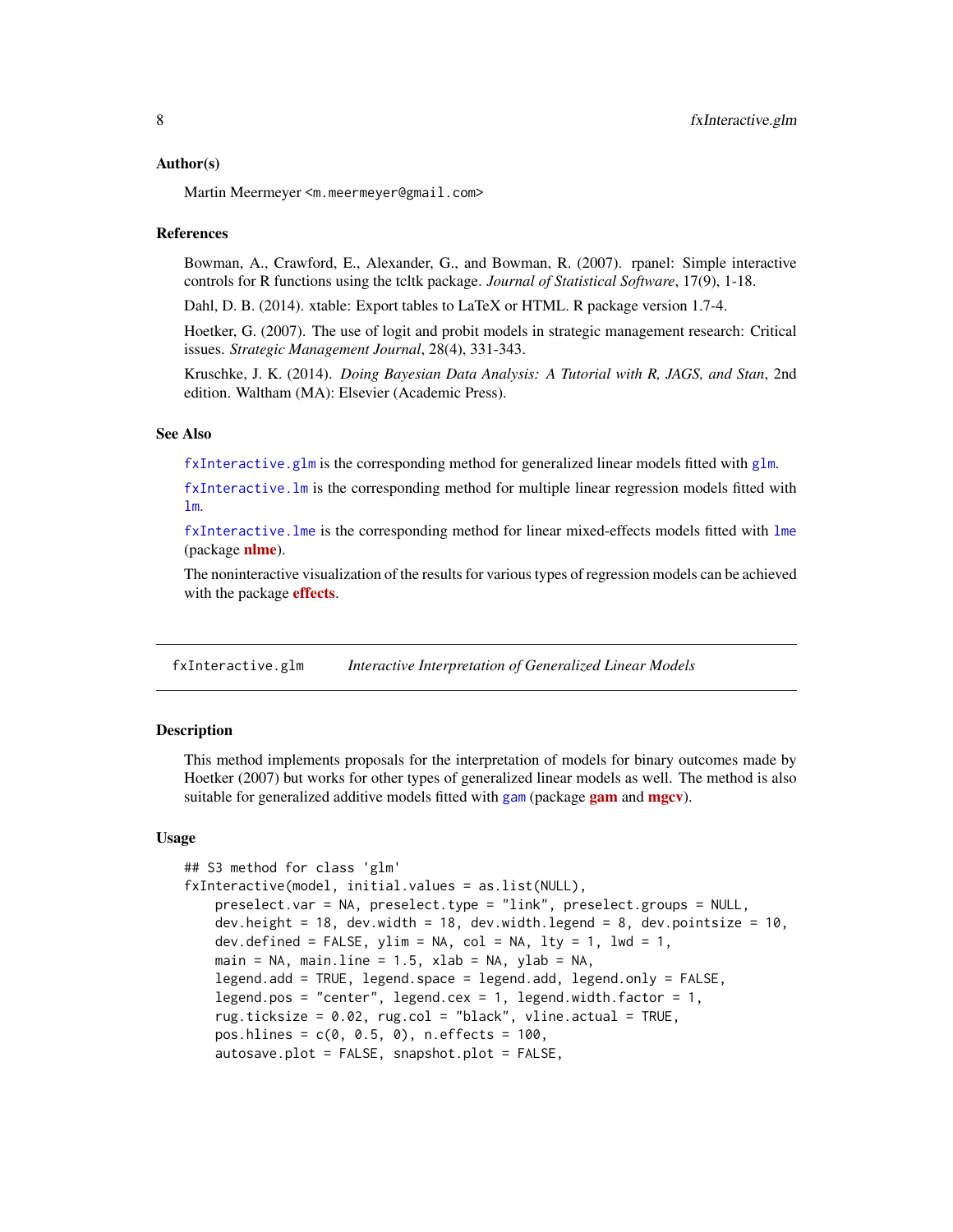#### <span id="page-7-0"></span>Author(s)

Martin Meermeyer <m.meermeyer@gmail.com>

# References

Bowman, A., Crawford, E., Alexander, G., and Bowman, R. (2007). rpanel: Simple interactive controls for R functions using the tcltk package. *Journal of Statistical Software*, 17(9), 1-18.

Dahl, D. B. (2014). xtable: Export tables to LaTeX or HTML. R package version 1.7-4.

Hoetker, G. (2007). The use of logit and probit models in strategic management research: Critical issues. *Strategic Management Journal*, 28(4), 331-343.

Kruschke, J. K. (2014). *Doing Bayesian Data Analysis: A Tutorial with R, JAGS, and Stan*, 2nd edition. Waltham (MA): Elsevier (Academic Press).

# See Also

[fxInteractive.glm](#page-7-1) is the corresponding method for generalized linear models fitted with [glm](#page-0-0).

[fxInteractive.lm](#page-14-1) is the corresponding method for multiple linear regression models fitted with [lm](#page-0-0).

[fxInteractive.lme](#page-20-1) is the corresponding method for linear mixed-effects models fitted with [lme](#page-0-0) (package **[nlme](https://CRAN.R-project.org/package=nlme)**).

The noninteractive visualization of the results for various types of regression models can be achieved with the package **[effects](https://CRAN.R-project.org/package=effects)**.

<span id="page-7-1"></span>fxInteractive.glm *Interactive Interpretation of Generalized Linear Models*

# Description

This method implements proposals for the interpretation of models for binary outcomes made by Hoetker (2007) but works for other types of generalized linear models as well. The method is also suitable for generalized additive models fitted with [gam](https://CRAN.R-project.org/package=gam) (package gam and [mgcv](https://CRAN.R-project.org/package=mgcv)).

# Usage

```
## S3 method for class 'glm'
fxInteractive(model, initial.values = as.list(NULL),
   preselect.var = NA, preselect.type = "link", preselect.groups = NULL,
   dev.height = 18, dev.width = 18, dev.width.legend = 8, dev.pointsize = 10,
   dev.defined = FALSE, ylim = NA, col = NA, lty = 1, lwd = 1,
   main = NA, main.line = 1.5, xlab = NA, ylab = NA,
   legend.add = TRUE, legend.space = legend.add, legend.only = FALSE,
   legend.pos = "center", legend.cex = 1, legend.width.factor = 1,
   rug.ticksize = 0.02, rug.col = "black", vline.actual = TRUE,
   pos.hlines = c(0, 0.5, 0), n.effects = 100,
   autosave.plot = FALSE, snapshot.plot = FALSE,
```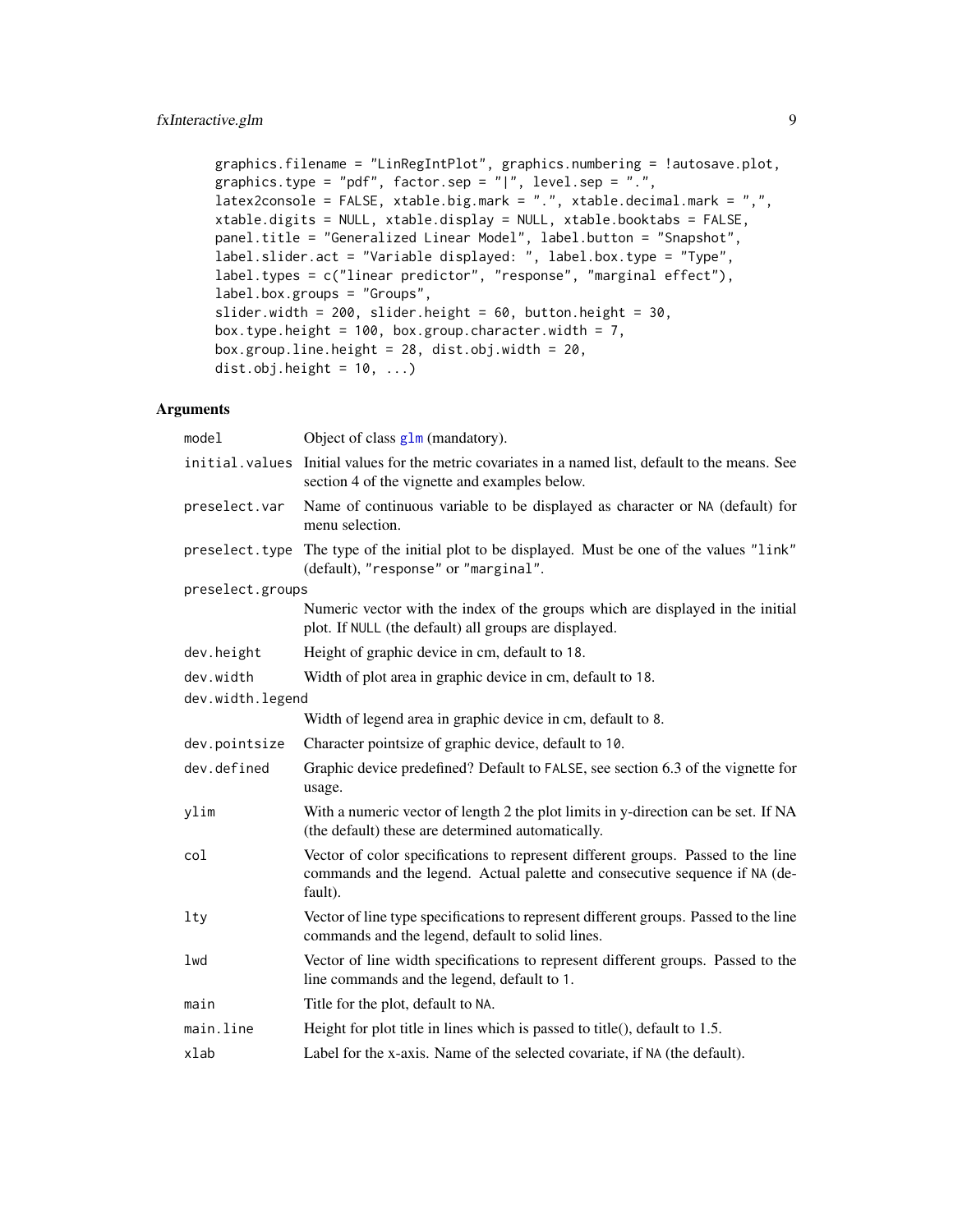```
graphics.filename = "LinRegIntPlot", graphics.numbering = !autosave.plot,
graphics.type = "pdf", factor.sep = "|", level.sep = ".",
latex2console = FALSE, xtable.big.mark = ".", xtable.decimal.mark = ",",
xtable.digits = NULL, xtable.display = NULL, xtable.booktabs = FALSE,
panel.title = "Generalized Linear Model", label.button = "Snapshot",
label.slider.act = "Variable displayed: ", label.box.type = "Type",
label.types = c("linear predictor", "response", "marginal effect"),
label.box.groups = "Groups",
slider.width = 200, slider.height = 60, button.height = 30,
box.type.height = 100, box.group.character.width = 7,
box.group.line.height = 28, dist.obj.width = 20,
dist.obj.height = 10, ...)
```
# Arguments

| Object of class $g \ln(m \text{andatory})$ .                                                                                                                               |
|----------------------------------------------------------------------------------------------------------------------------------------------------------------------------|
| initial. values Initial values for the metric covariates in a named list, default to the means. See<br>section 4 of the vignette and examples below.                       |
| Name of continuous variable to be displayed as character or NA (default) for<br>menu selection.                                                                            |
| preselect. type The type of the initial plot to be displayed. Must be one of the values "link"<br>(default), "response" or "marginal".                                     |
| preselect.groups                                                                                                                                                           |
| Numeric vector with the index of the groups which are displayed in the initial<br>plot. If NULL (the default) all groups are displayed.                                    |
| Height of graphic device in cm, default to 18.                                                                                                                             |
| Width of plot area in graphic device in cm, default to 18.                                                                                                                 |
| dev.width.legend                                                                                                                                                           |
| Width of legend area in graphic device in cm, default to 8.                                                                                                                |
| Character pointsize of graphic device, default to 10.                                                                                                                      |
| Graphic device predefined? Default to FALSE, see section 6.3 of the vignette for<br>usage.                                                                                 |
| With a numeric vector of length 2 the plot limits in y-direction can be set. If NA<br>(the default) these are determined automatically.                                    |
| Vector of color specifications to represent different groups. Passed to the line<br>commands and the legend. Actual palette and consecutive sequence if NA (de-<br>fault). |
| Vector of line type specifications to represent different groups. Passed to the line<br>commands and the legend, default to solid lines.                                   |
| Vector of line width specifications to represent different groups. Passed to the<br>line commands and the legend, default to 1.                                            |
| Title for the plot, default to NA.                                                                                                                                         |
| Height for plot title in lines which is passed to title(), default to $1.5$ .                                                                                              |
| Label for the x-axis. Name of the selected covariate, if NA (the default).                                                                                                 |
|                                                                                                                                                                            |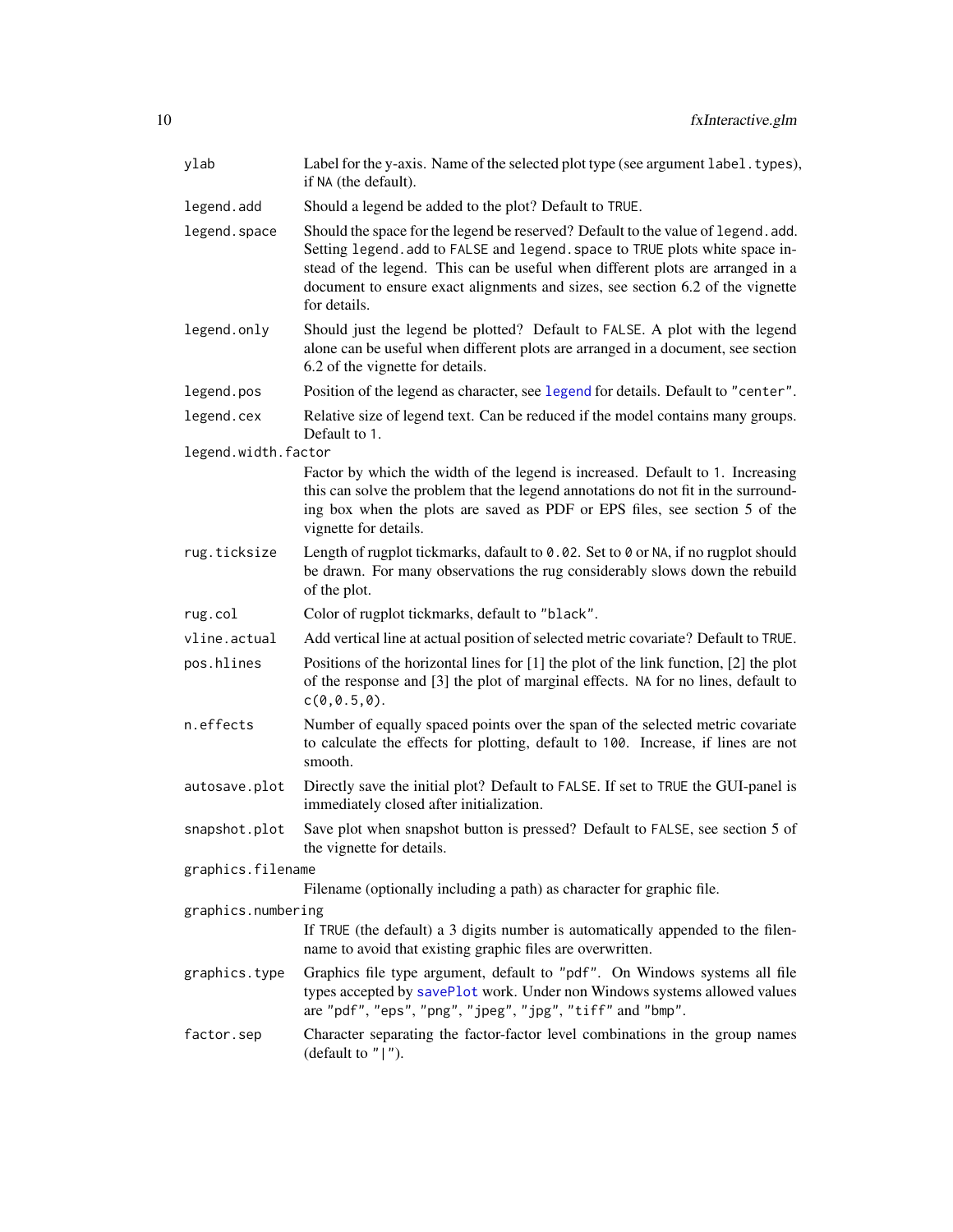<span id="page-9-0"></span>

| ylab                | Label for the y-axis. Name of the selected plot type (see argument label. types),<br>if NA (the default).                                                                                                                                                                                                                                             |  |
|---------------------|-------------------------------------------------------------------------------------------------------------------------------------------------------------------------------------------------------------------------------------------------------------------------------------------------------------------------------------------------------|--|
| legend.add          | Should a legend be added to the plot? Default to TRUE.                                                                                                                                                                                                                                                                                                |  |
| legend. space       | Should the space for the legend be reserved? Default to the value of legend. add.<br>Setting legend. add to FALSE and legend. space to TRUE plots white space in-<br>stead of the legend. This can be useful when different plots are arranged in a<br>document to ensure exact alignments and sizes, see section 6.2 of the vignette<br>for details. |  |
| legend.only         | Should just the legend be plotted? Default to FALSE. A plot with the legend<br>alone can be useful when different plots are arranged in a document, see section<br>6.2 of the vignette for details.                                                                                                                                                   |  |
| legend.pos          | Position of the legend as character, see legend for details. Default to "center".                                                                                                                                                                                                                                                                     |  |
| legend.cex          | Relative size of legend text. Can be reduced if the model contains many groups.<br>Default to 1.                                                                                                                                                                                                                                                      |  |
| legend.width.factor |                                                                                                                                                                                                                                                                                                                                                       |  |
|                     | Factor by which the width of the legend is increased. Default to 1. Increasing<br>this can solve the problem that the legend annotations do not fit in the surround-<br>ing box when the plots are saved as PDF or EPS files, see section 5 of the<br>vignette for details.                                                                           |  |
| rug.ticksize        | Length of rugplot tickmarks, dafault to 0.02. Set to 0 or NA, if no rugplot should<br>be drawn. For many observations the rug considerably slows down the rebuild<br>of the plot.                                                                                                                                                                     |  |
| rug.col             | Color of rugplot tickmarks, default to "black".                                                                                                                                                                                                                                                                                                       |  |
| vline.actual        | Add vertical line at actual position of selected metric covariate? Default to TRUE.                                                                                                                                                                                                                                                                   |  |
| pos.hlines          | Positions of the horizontal lines for $[1]$ the plot of the link function, $[2]$ the plot<br>of the response and [3] the plot of marginal effects. NA for no lines, default to<br>c(0, 0.5, 0).                                                                                                                                                       |  |
| n.effects           | Number of equally spaced points over the span of the selected metric covariate<br>to calculate the effects for plotting, default to 100. Increase, if lines are not<br>smooth.                                                                                                                                                                        |  |
| autosave.plot       | Directly save the initial plot? Default to FALSE. If set to TRUE the GUI-panel is<br>immediately closed after initialization.                                                                                                                                                                                                                         |  |
| snapshot.plot       | Save plot when snapshot button is pressed? Default to FALSE, see section 5 of<br>the vignette for details.                                                                                                                                                                                                                                            |  |
| graphics.filename   |                                                                                                                                                                                                                                                                                                                                                       |  |
|                     | Filename (optionally including a path) as character for graphic file.                                                                                                                                                                                                                                                                                 |  |
| graphics.numbering  | If TRUE (the default) a 3 digits number is automatically appended to the filen-<br>name to avoid that existing graphic files are overwritten.                                                                                                                                                                                                         |  |
| graphics.type       | Graphics file type argument, default to "pdf". On Windows systems all file<br>types accepted by savePlot work. Under non Windows systems allowed values<br>are "pdf", "eps", "png", "jpeg", "jpg", "tiff" and "bmp".                                                                                                                                  |  |
| factor.sep          | Character separating the factor-factor level combinations in the group names<br>(default to $"   "$ ).                                                                                                                                                                                                                                                |  |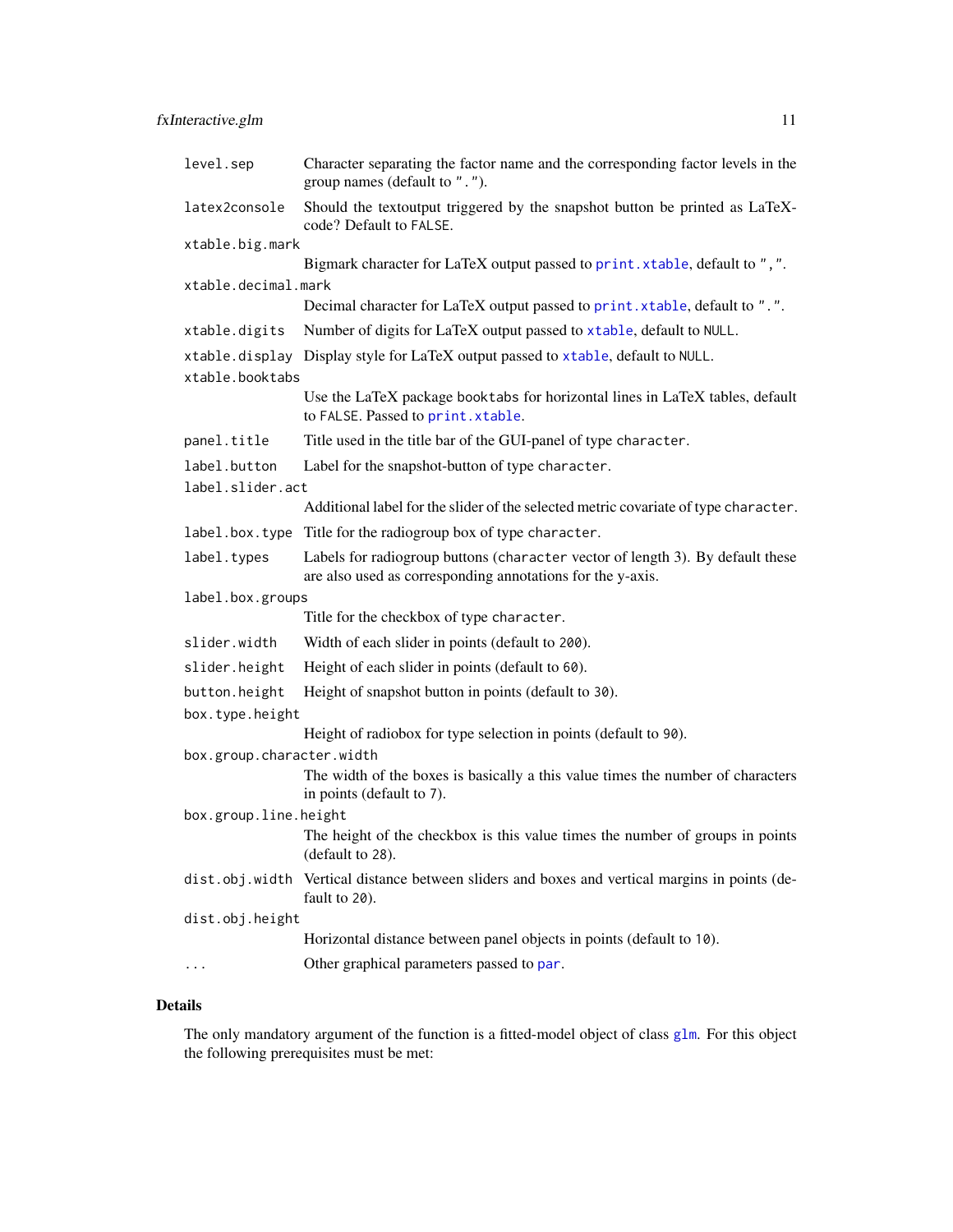<span id="page-10-0"></span>

| level.sep                 | Character separating the factor name and the corresponding factor levels in the<br>group names (default to ".").                             |
|---------------------------|----------------------------------------------------------------------------------------------------------------------------------------------|
| latex2console             | Should the textoutput triggered by the snapshot button be printed as LaTeX-<br>code? Default to FALSE.                                       |
| xtable.big.mark           |                                                                                                                                              |
|                           | Bigmark character for LaTeX output passed to print. xtable, default to ", ".                                                                 |
| xtable.decimal.mark       |                                                                                                                                              |
|                           | Decimal character for LaTeX output passed to print. xtable, default to ".".                                                                  |
| xtable.digits             | Number of digits for LaTeX output passed to xtable, default to NULL.                                                                         |
| xtable.booktabs           | xtable.display Display style for LaTeX output passed to xtable, default to NULL.                                                             |
|                           | Use the LaTeX package booktabs for horizontal lines in LaTeX tables, default<br>to FALSE. Passed to print. xtable.                           |
| panel.title               | Title used in the title bar of the GUI-panel of type character.                                                                              |
| label.button              | Label for the snapshot-button of type character.                                                                                             |
| label.slider.act          |                                                                                                                                              |
|                           | Additional label for the slider of the selected metric covariate of type character.                                                          |
| label.box.type            | Title for the radiogroup box of type character.                                                                                              |
| label.types               | Labels for radiogroup buttons (character vector of length 3). By default these<br>are also used as corresponding annotations for the y-axis. |
| label.box.groups          |                                                                                                                                              |
|                           | Title for the checkbox of type character.                                                                                                    |
| slider.width              | Width of each slider in points (default to 200).                                                                                             |
| slider.height             | Height of each slider in points (default to 60).                                                                                             |
| button.height             | Height of snapshot button in points (default to 30).                                                                                         |
| box.type.height           |                                                                                                                                              |
|                           | Height of radiobox for type selection in points (default to 90).                                                                             |
| box.group.character.width |                                                                                                                                              |
|                           | The width of the boxes is basically a this value times the number of characters<br>in points (default to 7).                                 |
| box.group.line.height     |                                                                                                                                              |
|                           | The height of the checkbox is this value times the number of groups in points<br>(default to 28).                                            |
| dist.obj.width            | Vertical distance between sliders and boxes and vertical margins in points (de-<br>fault to 20).                                             |
| dist.obj.height           |                                                                                                                                              |
|                           | Horizontal distance between panel objects in points (default to 10).                                                                         |
|                           | Other graphical parameters passed to par.                                                                                                    |

# Details

The only mandatory argument of the function is a fitted-model object of class [glm](#page-0-0). For this object the following prerequisites must be met: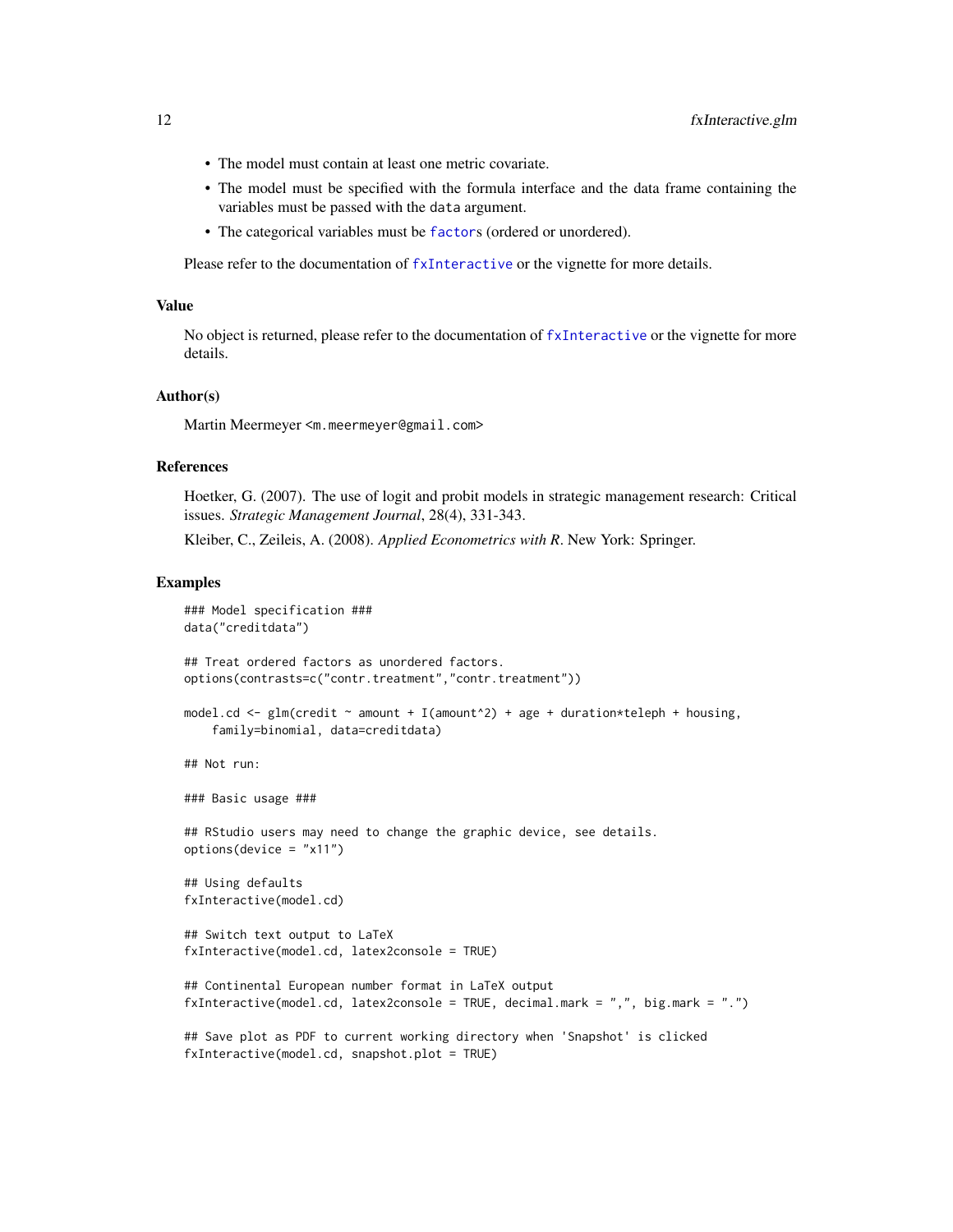- <span id="page-11-0"></span>• The model must contain at least one metric covariate.
- The model must be specified with the formula interface and the data frame containing the variables must be passed with the data argument.
- The categorical variables must be [factor](#page-0-0)s (ordered or unordered).

Please refer to the documentation of [fxInteractive](#page-5-1) or the vignette for more details.

#### Value

No object is returned, please refer to the documentation of [fxInteractive](#page-5-1) or the vignette for more details.

#### Author(s)

Martin Meermeyer <m.meermeyer@gmail.com>

#### References

Hoetker, G. (2007). The use of logit and probit models in strategic management research: Critical issues. *Strategic Management Journal*, 28(4), 331-343.

Kleiber, C., Zeileis, A. (2008). *Applied Econometrics with R*. New York: Springer.

#### Examples

```
### Model specification ###
data("creditdata")
## Treat ordered factors as unordered factors.
options(contrasts=c("contr.treatment","contr.treatment"))
model.cd <- glm(credit \sim amount + I(amount^2) + age + duration*teleph + housing,
    family=binomial, data=creditdata)
## Not run:
### Basic usage ###
## RStudio users may need to change the graphic device, see details.
options(device = "x11")
## Using defaults
fxInteractive(model.cd)
## Switch text output to LaTeX
fxInteractive(model.cd, latex2console = TRUE)
## Continental European number format in LaTeX output
fxInteractive(model.cd, latex2console = TRUE, decimal.mark = ",", big.mark = ".")
## Save plot as PDF to current working directory when 'Snapshot' is clicked
fxInteractive(model.cd, snapshot.plot = TRUE)
```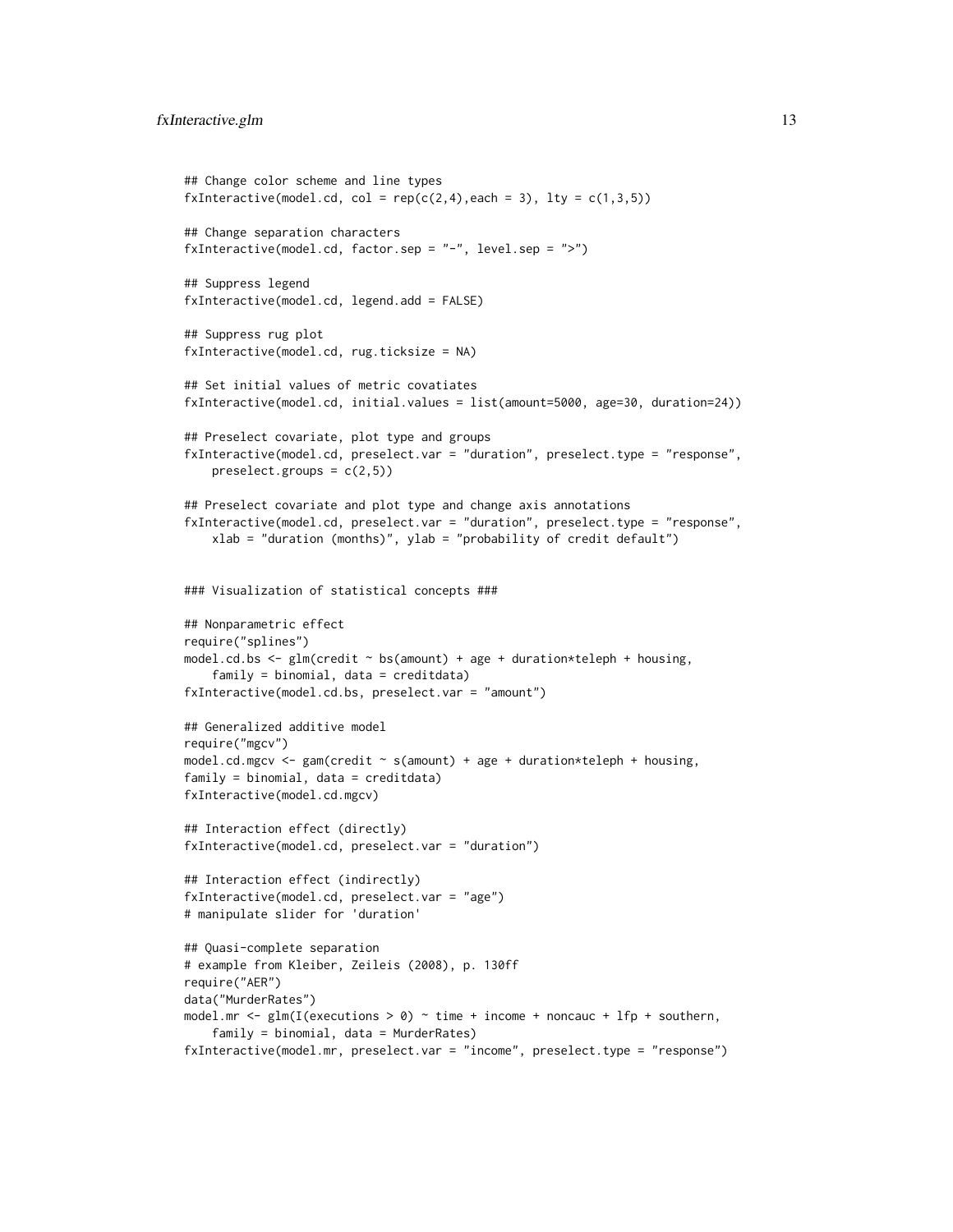```
## Change color scheme and line types
fxInteractive(model.cd, col = rep(c(2,4)), each = 3), lty = c(1,3,5))
## Change separation characters
fxInteractive(model.cd, factor.sep = "-", level.sep = ">")
## Suppress legend
fxInteractive(model.cd, legend.add = FALSE)
## Suppress rug plot
fxInteractive(model.cd, rug.ticksize = NA)
## Set initial values of metric covatiates
fxInteractive(model.cd, initial.values = list(amount=5000, age=30, duration=24))
## Preselect covariate, plot type and groups
fxInteractive(model.cd, preselect.var = "duration", preselect.type = "response",
   preselect.groups = c(2,5)## Preselect covariate and plot type and change axis annotations
fxInteractive(model.cd, preselect.var = "duration", preselect.type = "response",
   xlab = "duration (months)", ylab = "probability of credit default")
### Visualization of statistical concepts ###
## Nonparametric effect
require("splines")
model.cd.bs \leq glm(credit \sim bs(amount) + age + duration*teleph + housing,
    family = binomial, data = creditdata)
fxInteractive(model.cd.bs, preselect.var = "amount")
## Generalized additive model
require("mgcv")
model.cd.mgcv <- gam(credit \sim s(amount) + age + duration*teleph + housing,
family = binomial, data = creditdata)
fxInteractive(model.cd.mgcv)
## Interaction effect (directly)
fxInteractive(model.cd, preselect.var = "duration")
## Interaction effect (indirectly)
fxInteractive(model.cd, preselect.var = "age")
# manipulate slider for 'duration'
## Quasi-complete separation
# example from Kleiber, Zeileis (2008), p. 130ff
require("AER")
data("MurderRates")
model.mr <- glm(I(executions > 0) \sim time + income + noncauc + lfp + southern,
    family = binomial, data = MurderRates)
fxInteractive(model.mr, preselect.var = "income", preselect.type = "response")
```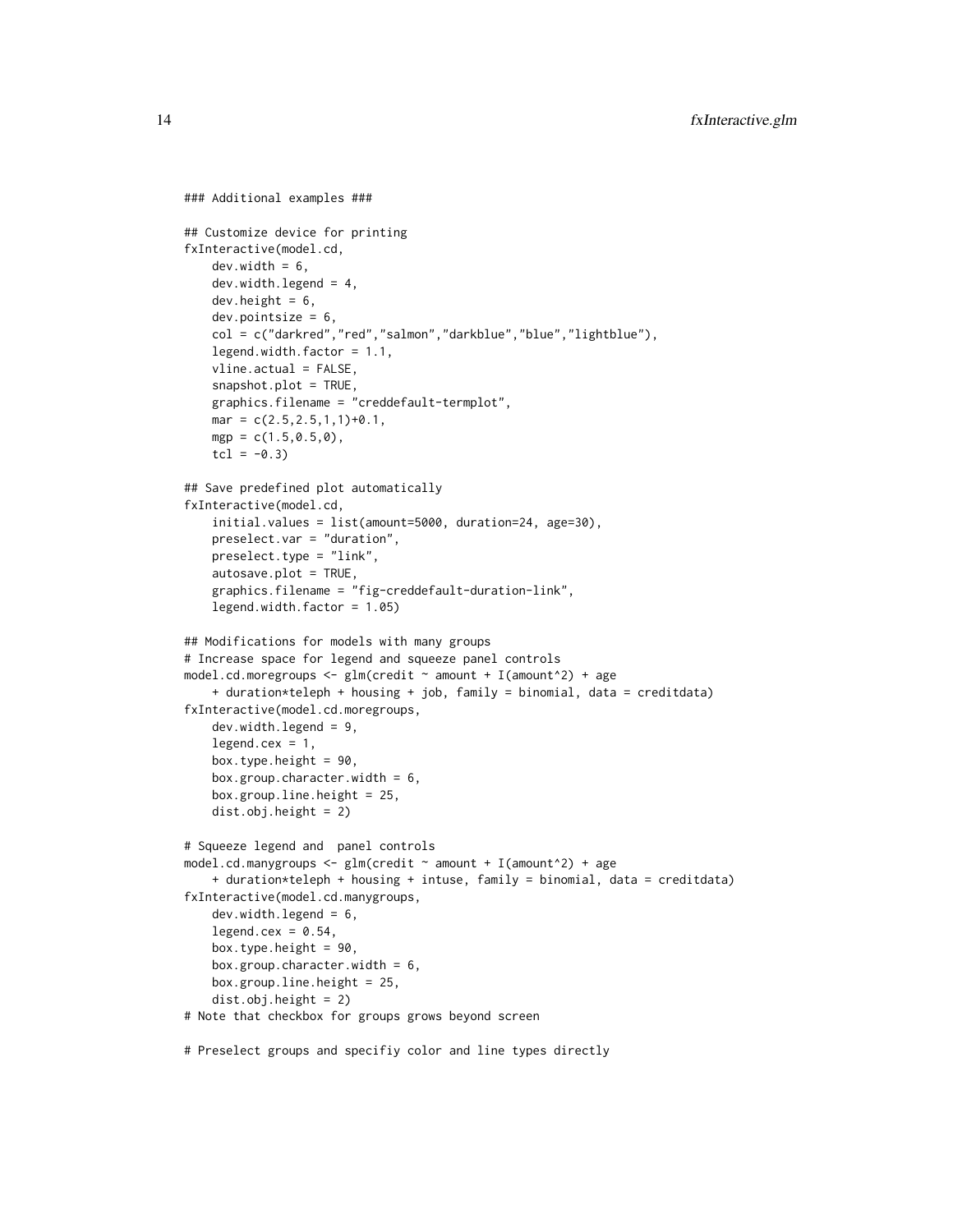```
### Additional examples ###
## Customize device for printing
fxInteractive(model.cd,
   dev<u>.width = 6</u>,
   dev.width.legend = 4,
   dev.height = 6,
    dev.pointsize = 6,
    col = c("darkred","red","salmon","darkblue","blue","lightblue"),
    legend.width.factor = 1.1,
    vline.actual = FALSE,
    snapshot.plot = TRUE,
    graphics.filename = "creddefault-termplot",
   mar = c(2.5, 2.5, 1, 1)+0.1,
   mgp = c(1.5, 0.5, 0),
   tcl = -0.3## Save predefined plot automatically
fxInteractive(model.cd,
    initial.values = list(amount=5000, duration=24, age=30),
   preselect.var = "duration",
   preselect.type = "link",
   autosave.plot = TRUE,
    graphics.filename = "fig-creddefault-duration-link",
    legend.width.factor = 1.05)
## Modifications for models with many groups
# Increase space for legend and squeeze panel controls
model.cd.moregroups \leq glm(credit \sim amount + I(amount^2) + age
    + duration*teleph + housing + job, family = binomial, data = creditdata)
fxInteractive(model.cd.moregroups,
   dev.width.legend = 9,
    legend. cex = 1,box.type.height = 90,
    box.group.character.width = 6,
   box.group.line.height = 25,
    dist.obj.height = 2)
# Squeeze legend and panel controls
model.cd.manygroups <- glm(credit \sim amount + I(amount^2) + age
    + duration*teleph + housing + intuse, family = binomial, data = creditdata)
fxInteractive(model.cd.manygroups,
   dev.width.legend = 6,
    legend.cex = 0.54,
    box.type.height = 90,
    box.group.character.width = 6,
   box.group.line.height = 25,
    dist.obj.height = 2)
# Note that checkbox for groups grows beyond screen
```
# Preselect groups and specifiy color and line types directly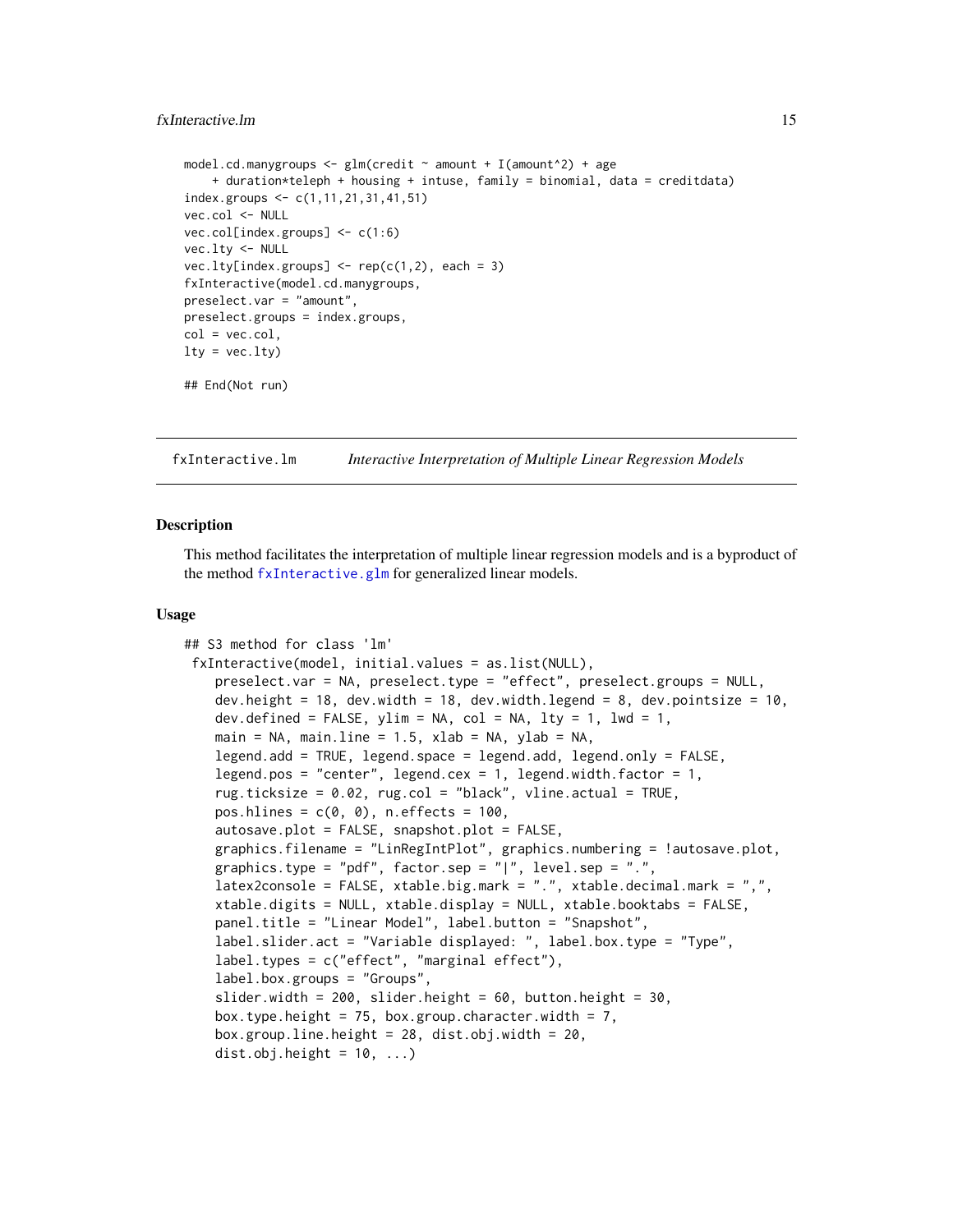# <span id="page-14-0"></span>fxInteractive.lm 15

```
model.cd.manygroups \leq glm(credit \sim amount + I(amount<sup>^2</sup>) + age
    + duration*teleph + housing + intuse, family = binomial, data = creditdata)
index.groups <- c(1,11,21,31,41,51)
vec.col <- NULL
vec.col[index.groups] <- c(1:6)
vec.lty <- NULL
vec.lty[index.groups] \leftarrow rep(c(1,2), each = 3)fxInteractive(model.cd.manygroups,
preselect.var = "amount",
preselect.groups = index.groups,
col = vec.col,lty = vec.lty)## End(Not run)
```
<span id="page-14-1"></span>fxInteractive.lm *Interactive Interpretation of Multiple Linear Regression Models*

# Description

This method facilitates the interpretation of multiple linear regression models and is a byproduct of the method [fxInteractive.glm](#page-7-1) for generalized linear models.

#### Usage

```
## S3 method for class 'lm'
fxInteractive(model, initial.values = as.list(NULL),
    preselect.var = NA, preselect.type = "effect", preselect.groups = NULL,
    dev.height = 18, dev.width = 18, dev.width.legend = 8, dev.pointsize = 10,
    dev.defined = FALSE, ylim = NA, col = NA, lty = 1, lwd = 1,
   main = NA, main.line = 1.5, xlab = NA, ylab = NA,
    legend.add = TRUE, legend.space = legend.add, legend.only = FALSE,
    legend.pos = "center", legend.cex = 1, legend.width.factor = 1,
    rug.ticksize = 0.02, rug.col = "black", vline.actual = TRUE,
    pos.hlines = c(\emptyset, \emptyset), n.effects = 100,
    autosave.plot = FALSE, snapshot.plot = FALSE,
    graphics.filename = "LinRegIntPlot", graphics.numbering = !autosave.plot,
   graphics.type = "pdf", factor.sep = "|", level.sep = ".",
    latex2console = FALSE, xtable.big.mark = ".", xtable.decimal.mark = ",",
    xtable.digits = NULL, xtable.display = NULL, xtable.booktabs = FALSE,
    panel.title = "Linear Model", label.button = "Snapshot",
    label.slider.act = "Variable displayed: ", label.box.type = "Type",
    label.types = c("effect", "marginal effect"),
    label.box.groups = "Groups",
    slider.width = 200, slider.height = 60, button.height = 30.
   box.type.height = 75, box.group.character.width = 7,
   box.group.line.height = 28, dist.obj.width = 20,
    dist.obj.height = 10, ...)
```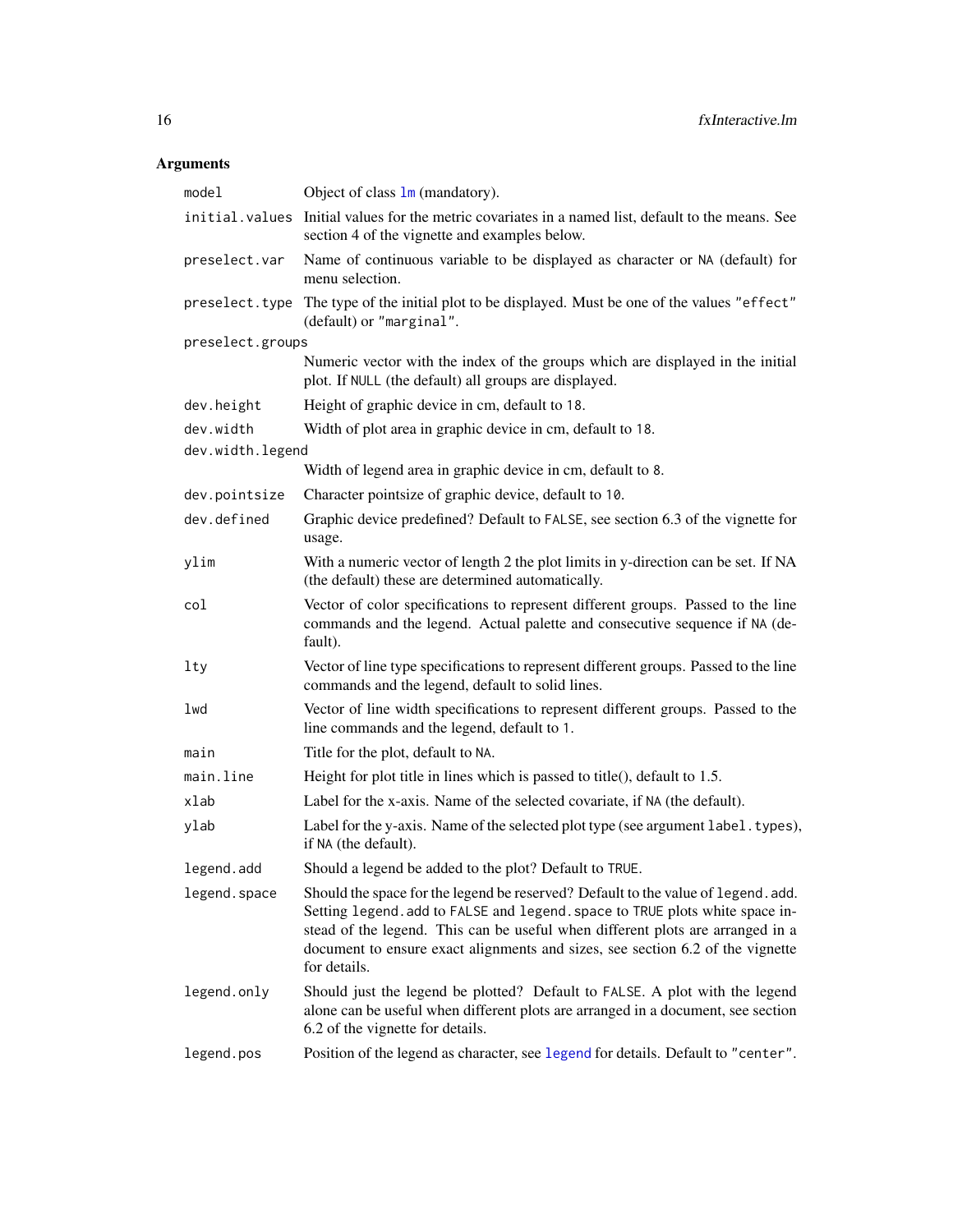# <span id="page-15-0"></span>Arguments

| model            | Object of class $\text{lm}$ (mandatory).                                                                                                                                                                                                                                                                                                              |
|------------------|-------------------------------------------------------------------------------------------------------------------------------------------------------------------------------------------------------------------------------------------------------------------------------------------------------------------------------------------------------|
|                  | initial. values Initial values for the metric covariates in a named list, default to the means. See<br>section 4 of the vignette and examples below.                                                                                                                                                                                                  |
| preselect.var    | Name of continuous variable to be displayed as character or NA (default) for<br>menu selection.                                                                                                                                                                                                                                                       |
|                  | preselect. type The type of the initial plot to be displayed. Must be one of the values "effect"<br>(default) or "marginal".                                                                                                                                                                                                                          |
| preselect.groups |                                                                                                                                                                                                                                                                                                                                                       |
|                  | Numeric vector with the index of the groups which are displayed in the initial<br>plot. If NULL (the default) all groups are displayed.                                                                                                                                                                                                               |
| dev.height       | Height of graphic device in cm, default to 18.                                                                                                                                                                                                                                                                                                        |
| dev.width        | Width of plot area in graphic device in cm, default to 18.                                                                                                                                                                                                                                                                                            |
| dev.width.legend |                                                                                                                                                                                                                                                                                                                                                       |
|                  | Width of legend area in graphic device in cm, default to 8.                                                                                                                                                                                                                                                                                           |
| dev.pointsize    | Character pointsize of graphic device, default to 10.                                                                                                                                                                                                                                                                                                 |
| dev.defined      | Graphic device predefined? Default to FALSE, see section 6.3 of the vignette for<br>usage.                                                                                                                                                                                                                                                            |
| ylim             | With a numeric vector of length 2 the plot limits in y-direction can be set. If NA<br>(the default) these are determined automatically.                                                                                                                                                                                                               |
| col              | Vector of color specifications to represent different groups. Passed to the line<br>commands and the legend. Actual palette and consecutive sequence if NA (de-<br>fault).                                                                                                                                                                            |
| lty              | Vector of line type specifications to represent different groups. Passed to the line<br>commands and the legend, default to solid lines.                                                                                                                                                                                                              |
| lwd              | Vector of line width specifications to represent different groups. Passed to the<br>line commands and the legend, default to 1.                                                                                                                                                                                                                       |
| main             | Title for the plot, default to NA.                                                                                                                                                                                                                                                                                                                    |
| main.line        | Height for plot title in lines which is passed to title(), default to 1.5.                                                                                                                                                                                                                                                                            |
| xlab             | Label for the x-axis. Name of the selected covariate, if NA (the default).                                                                                                                                                                                                                                                                            |
| ylab             | Label for the y-axis. Name of the selected plot type (see argument label. types),<br>if NA (the default).                                                                                                                                                                                                                                             |
| legend.add       | Should a legend be added to the plot? Default to TRUE.                                                                                                                                                                                                                                                                                                |
| legend.space     | Should the space for the legend be reserved? Default to the value of legend. add.<br>Setting legend. add to FALSE and legend. space to TRUE plots white space in-<br>stead of the legend. This can be useful when different plots are arranged in a<br>document to ensure exact alignments and sizes, see section 6.2 of the vignette<br>for details. |
| legend.only      | Should just the legend be plotted? Default to FALSE. A plot with the legend<br>alone can be useful when different plots are arranged in a document, see section<br>6.2 of the vignette for details.                                                                                                                                                   |
| legend.pos       | Position of the legend as character, see legend for details. Default to "center".                                                                                                                                                                                                                                                                     |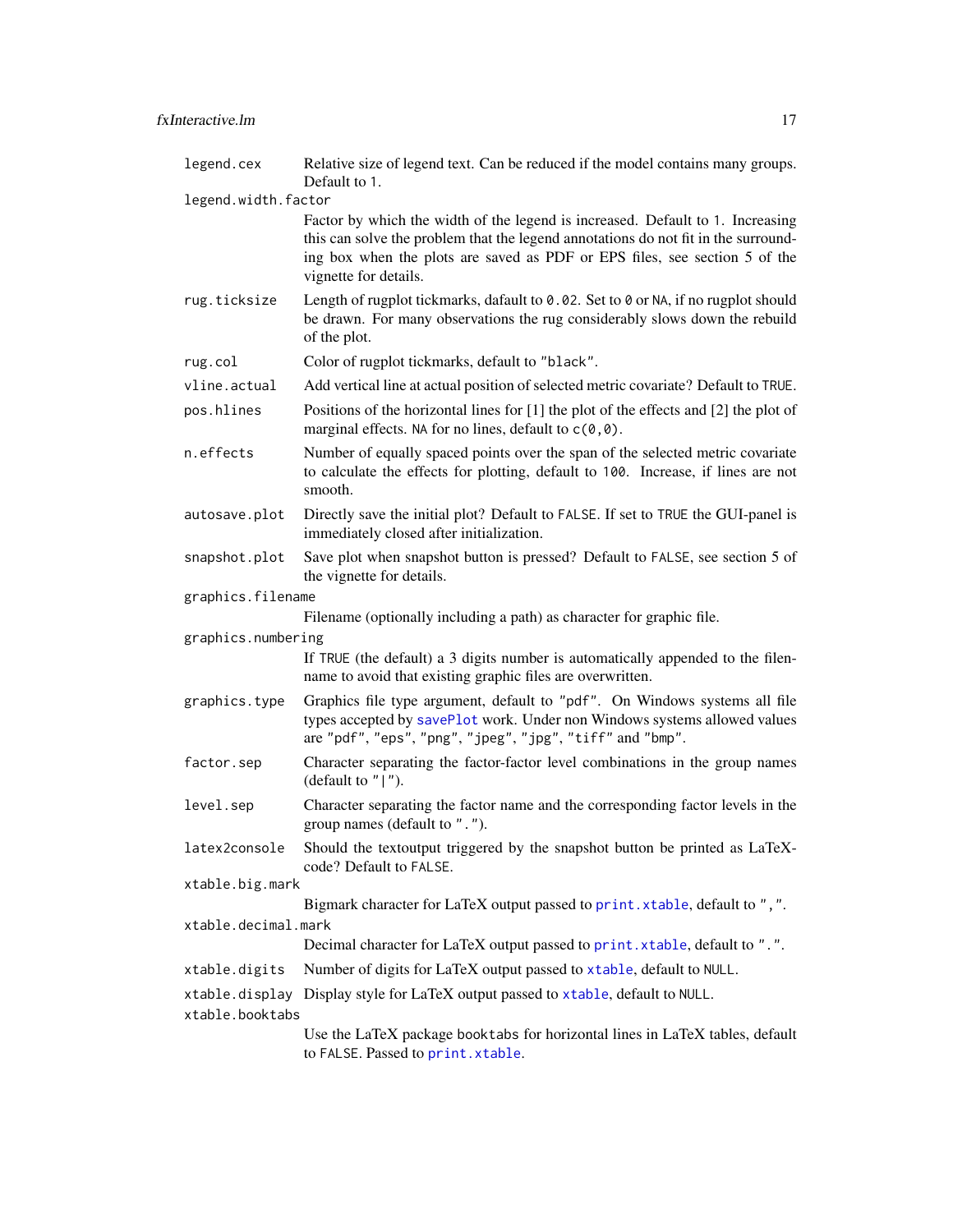<span id="page-16-0"></span>

| legend.cex          | Relative size of legend text. Can be reduced if the model contains many groups.<br>Default to 1.                                                                                                                                                                            |
|---------------------|-----------------------------------------------------------------------------------------------------------------------------------------------------------------------------------------------------------------------------------------------------------------------------|
| legend.width.factor |                                                                                                                                                                                                                                                                             |
|                     | Factor by which the width of the legend is increased. Default to 1. Increasing<br>this can solve the problem that the legend annotations do not fit in the surround-<br>ing box when the plots are saved as PDF or EPS files, see section 5 of the<br>vignette for details. |
| rug.ticksize        | Length of rugplot tickmarks, dafault to 0.02. Set to 0 or NA, if no rugplot should<br>be drawn. For many observations the rug considerably slows down the rebuild<br>of the plot.                                                                                           |
| rug.col             | Color of rugplot tickmarks, default to "black".                                                                                                                                                                                                                             |
| vline.actual        | Add vertical line at actual position of selected metric covariate? Default to TRUE.                                                                                                                                                                                         |
| pos.hlines          | Positions of the horizontal lines for [1] the plot of the effects and [2] the plot of<br>marginal effects. NA for no lines, default to $c(\theta, \theta)$ .                                                                                                                |
| n.effects           | Number of equally spaced points over the span of the selected metric covariate<br>to calculate the effects for plotting, default to 100. Increase, if lines are not<br>smooth.                                                                                              |
| autosave.plot       | Directly save the initial plot? Default to FALSE. If set to TRUE the GUI-panel is<br>immediately closed after initialization.                                                                                                                                               |
| snapshot.plot       | Save plot when snapshot button is pressed? Default to FALSE, see section 5 of<br>the vignette for details.                                                                                                                                                                  |
| graphics.filename   |                                                                                                                                                                                                                                                                             |
|                     | Filename (optionally including a path) as character for graphic file.                                                                                                                                                                                                       |
| graphics.numbering  |                                                                                                                                                                                                                                                                             |
|                     | If TRUE (the default) a 3 digits number is automatically appended to the filen-<br>name to avoid that existing graphic files are overwritten.                                                                                                                               |
| graphics.type       | Graphics file type argument, default to "pdf". On Windows systems all file<br>types accepted by savePlot work. Under non Windows systems allowed values<br>are "pdf", "eps", "png", "jpeg", "jpg", "tiff" and "bmp".                                                        |
| factor.sep          | Character separating the factor-factor level combinations in the group names<br>(default to $"   "$ ).                                                                                                                                                                      |
| level.sep           | Character separating the factor name and the corresponding factor levels in the<br>group names (default to ".").                                                                                                                                                            |
| latex2console       | Should the textoutput triggered by the snapshot button be printed as LaTeX-<br>code? Default to FALSE.                                                                                                                                                                      |
| xtable.big.mark     |                                                                                                                                                                                                                                                                             |
|                     | Bigmark character for LaTeX output passed to print. xtable, default to ", ".                                                                                                                                                                                                |
| xtable.decimal.mark |                                                                                                                                                                                                                                                                             |
|                     | Decimal character for LaTeX output passed to print. xtable, default to ".".                                                                                                                                                                                                 |
| xtable.digits       | Number of digits for LaTeX output passed to xtable, default to NULL.                                                                                                                                                                                                        |
|                     | xtable.display Display style for LaTeX output passed to xtable, default to NULL.                                                                                                                                                                                            |
| xtable.booktabs     | Use the LaTeX package booktabs for horizontal lines in LaTeX tables, default<br>to FALSE. Passed to print. xtable.                                                                                                                                                          |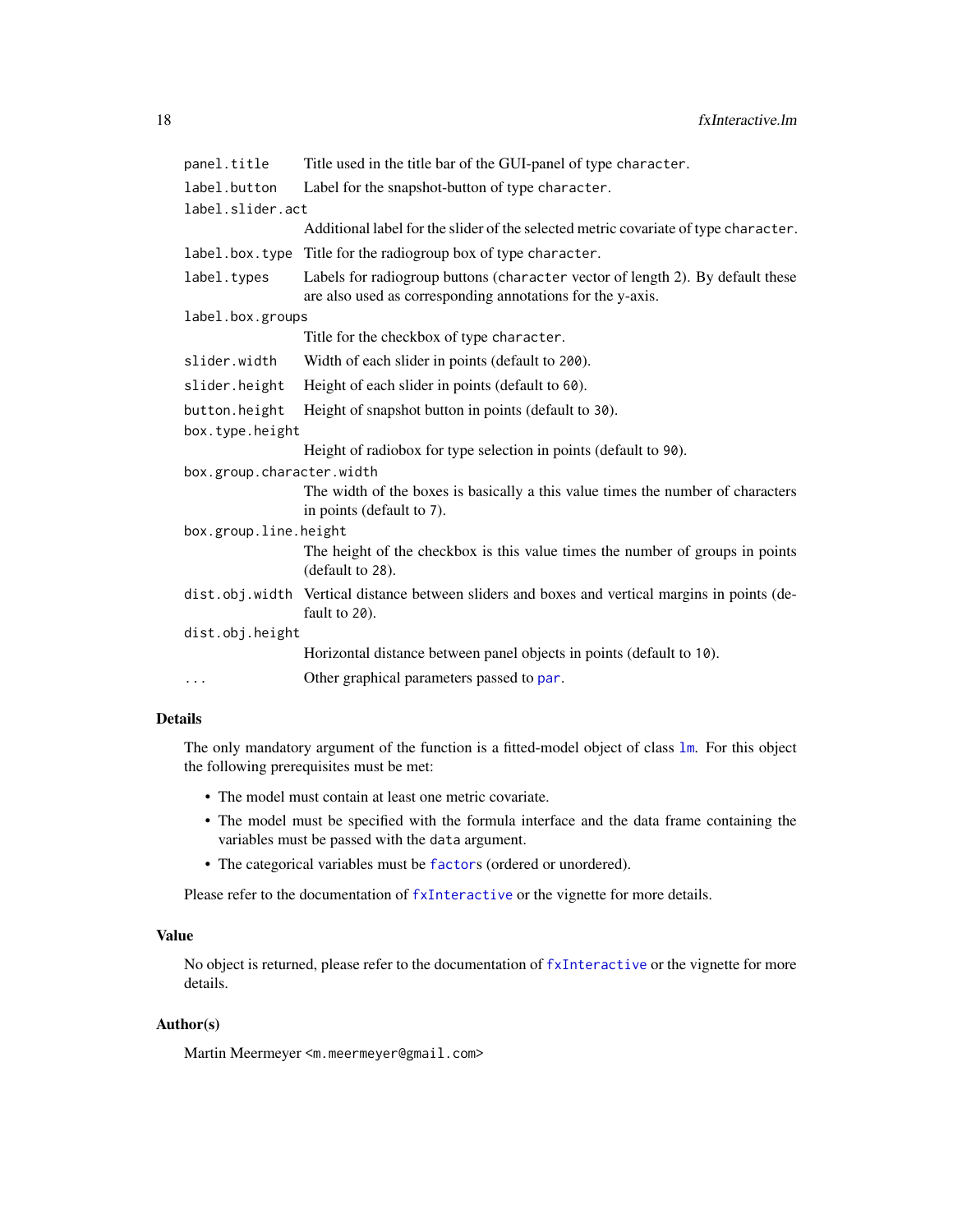<span id="page-17-0"></span>

| panel.title               | Title used in the title bar of the GUI-panel of type character.                                                                              |  |
|---------------------------|----------------------------------------------------------------------------------------------------------------------------------------------|--|
| label.button              | Label for the snapshot-button of type character.                                                                                             |  |
| label.slider.act          |                                                                                                                                              |  |
|                           | Additional label for the slider of the selected metric covariate of type character.                                                          |  |
|                           | label.box.type Title for the radiogroup box of type character.                                                                               |  |
| label.types               | Labels for radiogroup buttons (character vector of length 2). By default these<br>are also used as corresponding annotations for the y-axis. |  |
| label.box.groups          |                                                                                                                                              |  |
|                           | Title for the checkbox of type character.                                                                                                    |  |
| slider.width              | Width of each slider in points (default to 200).                                                                                             |  |
| slider.height             | Height of each slider in points (default to 60).                                                                                             |  |
| button.height             | Height of snapshot button in points (default to 30).                                                                                         |  |
| box.type.height           |                                                                                                                                              |  |
|                           | Height of radiobox for type selection in points (default to 90).                                                                             |  |
| box.group.character.width |                                                                                                                                              |  |
|                           | The width of the boxes is basically a this value times the number of characters<br>in points (default to 7).                                 |  |
| box.group.line.height     |                                                                                                                                              |  |
|                           | The height of the checkbox is this value times the number of groups in points<br>(default to 28).                                            |  |
|                           | dist.obj.width Vertical distance between sliders and boxes and vertical margins in points (de-<br>fault to 20).                              |  |
| dist.obj.height           |                                                                                                                                              |  |
|                           | Horizontal distance between panel objects in points (default to 10).                                                                         |  |
| $\cdots$                  | Other graphical parameters passed to par.                                                                                                    |  |

# Details

The only mandatory argument of the function is a fitted-model object of class [lm](#page-0-0). For this object the following prerequisites must be met:

- The model must contain at least one metric covariate.
- The model must be specified with the formula interface and the data frame containing the variables must be passed with the data argument.
- The categorical variables must be [factor](#page-0-0)s (ordered or unordered).

Please refer to the documentation of [fxInteractive](#page-5-1) or the vignette for more details.

# Value

No object is returned, please refer to the documentation of [fxInteractive](#page-5-1) or the vignette for more details.

# Author(s)

Martin Meermeyer <m.meermeyer@gmail.com>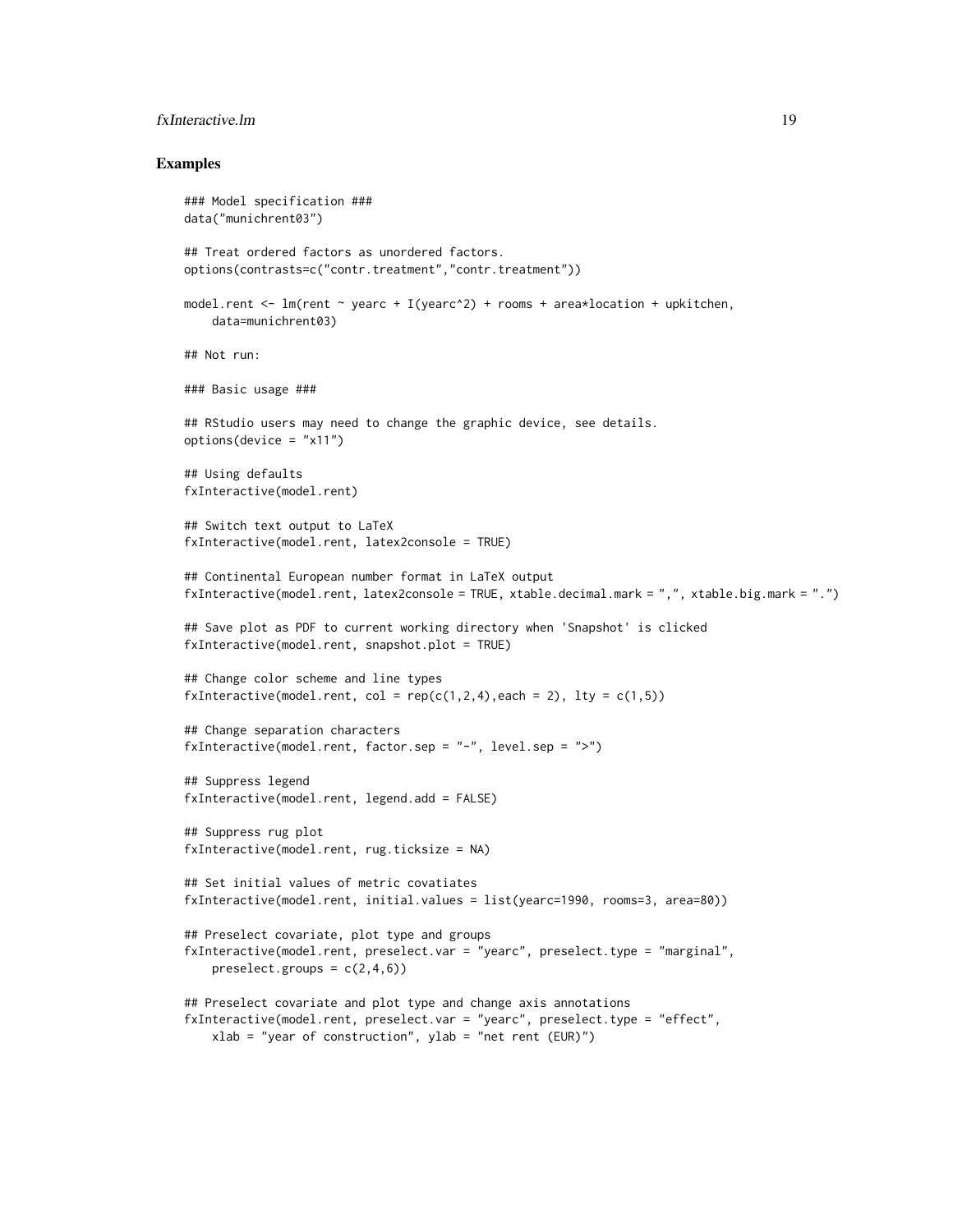# fxInteractive.lm 19

# Examples

```
### Model specification ###
data("munichrent03")
## Treat ordered factors as unordered factors.
options(contrasts=c("contr.treatment","contr.treatment"))
model.rent \leq lm(rent \sim yearc + I(yearc^2) + rooms + area*location + upkitchen,
   data=munichrent03)
## Not run:
### Basic usage ###
## RStudio users may need to change the graphic device, see details.
options(device = "x11")
## Using defaults
fxInteractive(model.rent)
## Switch text output to LaTeX
fxInteractive(model.rent, latex2console = TRUE)
## Continental European number format in LaTeX output
fxInteractive(model.rent, latex2console = TRUE, xtable.decimal.mark = ",", xtable.big.mark = ".")
## Save plot as PDF to current working directory when 'Snapshot' is clicked
fxInteractive(model.rent, snapshot.plot = TRUE)
## Change color scheme and line types
fxInteractive(model.rent, col = rep(c(1,2,4),each = 2), lty = c(1,5))
## Change separation characters
fxInteractive(model.rent, factor.sep = "-", level.sep = ">")
## Suppress legend
fxInteractive(model.rent, legend.add = FALSE)
## Suppress rug plot
fxInteractive(model.rent, rug.ticksize = NA)
## Set initial values of metric covatiates
fxInteractive(model.rent, initial.values = list(yearc=1990, rooms=3, area=80))
## Preselect covariate, plot type and groups
fxInteractive(model.rent, preselect.var = "yearc", preselect.type = "marginal",
   preselect.groups = c(2,4,6)## Preselect covariate and plot type and change axis annotations
fxInteractive(model.rent, preselect.var = "yearc", preselect.type = "effect",
   xlab = "year of construction", ylab = "net rent (EUR)")
```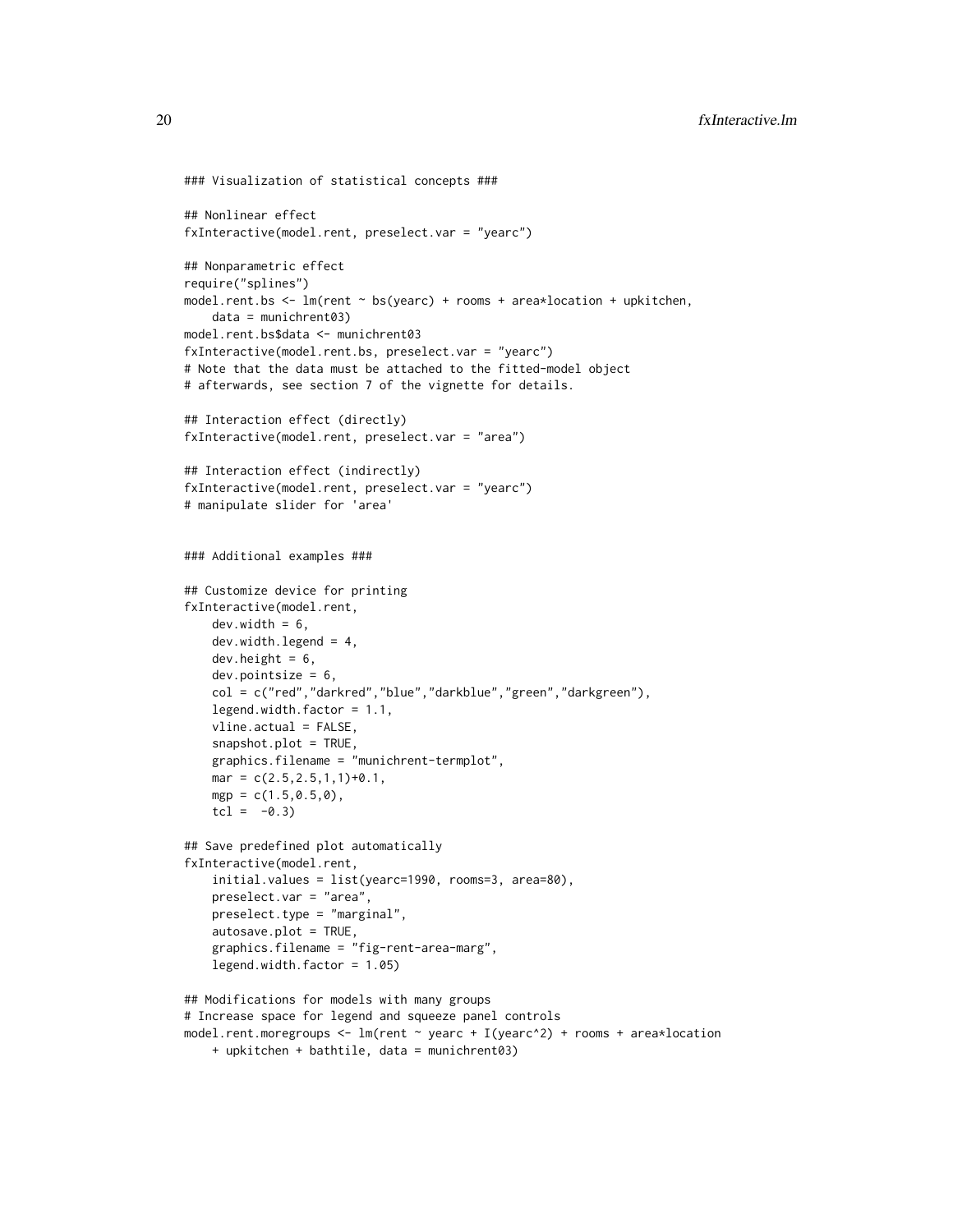```
### Visualization of statistical concepts ###
## Nonlinear effect
fxInteractive(model.rent, preselect.var = "yearc")
## Nonparametric effect
require("splines")
model.rent.bs \leq lm(rent \sim bs(yearc) + rooms + area*location + upkitchen,
    data = munichrent03)
model.rent.bs$data <- munichrent03
fxInteractive(model.rent.bs, preselect.var = "yearc")
# Note that the data must be attached to the fitted-model object
# afterwards, see section 7 of the vignette for details.
## Interaction effect (directly)
fxInteractive(model.rent, preselect.var = "area")
## Interaction effect (indirectly)
fxInteractive(model.rent, preselect.var = "yearc")
# manipulate slider for 'area'
### Additional examples ###
## Customize device for printing
fxInteractive(model.rent,
    dev<u>width</u> = <math>6,
    dev.width.legend = 4,
    dev.height = 6,
    dev.pointsize = 6,
    col = c("red","darkred","blue","darkblue","green","darkgreen"),
    legend.width.factor = 1.1,
    vline.actual = FALSE,
    snapshot.plot = TRUE,
    graphics.filename = "munichrent-termplot",
   mar = c(2.5, 2.5, 1, 1)+0.1,
    mgp = c(1.5, 0.5, 0),
    tcl = -0.3## Save predefined plot automatically
fxInteractive(model.rent,
    initial.values = list(yearc=1990, rooms=3, area=80),
    preselect.var = "area",
    preselect.type = "marginal",
    autosave.plot = TRUE,
    graphics.filename = "fig-rent-area-marg",
    legend.width.factor = 1.05)
## Modifications for models with many groups
# Increase space for legend and squeeze panel controls
model.rent.moregroups <- lm(rent ~ yearc + I(yearc^2) + rooms + area*location
    + upkitchen + bathtile, data = munichrent03)
```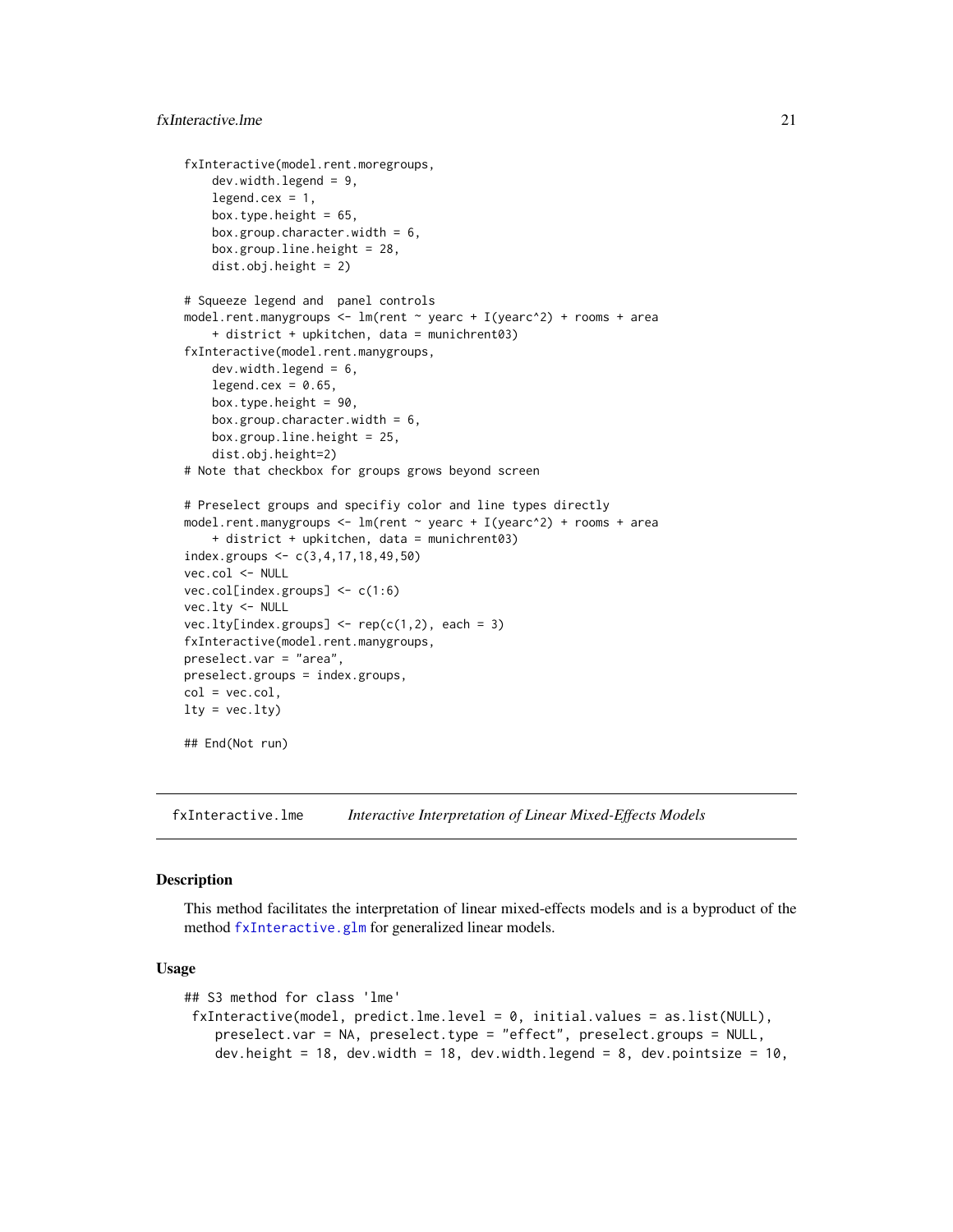```
fxInteractive(model.rent.moregroups,
    dev.width.legend = 9,
    legend. cex = 1,box.type.height = 65,
   box.group.character.width = 6,
   box.group.line.height = 28,
    dist.obj.height = 2)
# Squeeze legend and panel controls
model.rent.manygroups <- lm(rent \sim yearc + I(yearc^2) + rooms + area+ district + upkitchen, data = munichrent03)
fxInteractive(model.rent.manygroups,
    dev.width.legend = 6,
    legend.cex = 0.65,
    box.type.height = 90,
   box.group.character.width = 6,
   box.group.line.height = 25,
    dist.obj.height=2)
# Note that checkbox for groups grows beyond screen
# Preselect groups and specifiy color and line types directly
model.rent.manygroups <- lm(rent \sim yearc + I(yearc^2) + rooms + area+ district + upkitchen, data = munichrent03)
index.groups <- c(3,4,17,18,49,50)
vec.col <- NULL
vec.col[index.groups] <- c(1:6)
vec.lty <- NULL
vec.lty[index.groups] \leftarrow rep(c(1,2), each = 3)fxInteractive(model.rent.manygroups,
preselect.var = "area",
preselect.groups = index.groups,
col = vec.col,lty = vec.lty)## End(Not run)
```
<span id="page-20-1"></span>fxInteractive.lme *Interactive Interpretation of Linear Mixed-Effects Models*

# **Description**

This method facilitates the interpretation of linear mixed-effects models and is a byproduct of the method [fxInteractive.glm](#page-7-1) for generalized linear models.

#### Usage

```
## S3 method for class 'lme'
fxInteractive(model, predict.lme.level = 0, initial.values = as.list(NULL),
    preselect.var = NA, preselect.type = "effect", preselect.groups = NULL,
   dev.height = 18, dev.width = 18, dev.width.legend = 8, dev.pointsize = 10,
```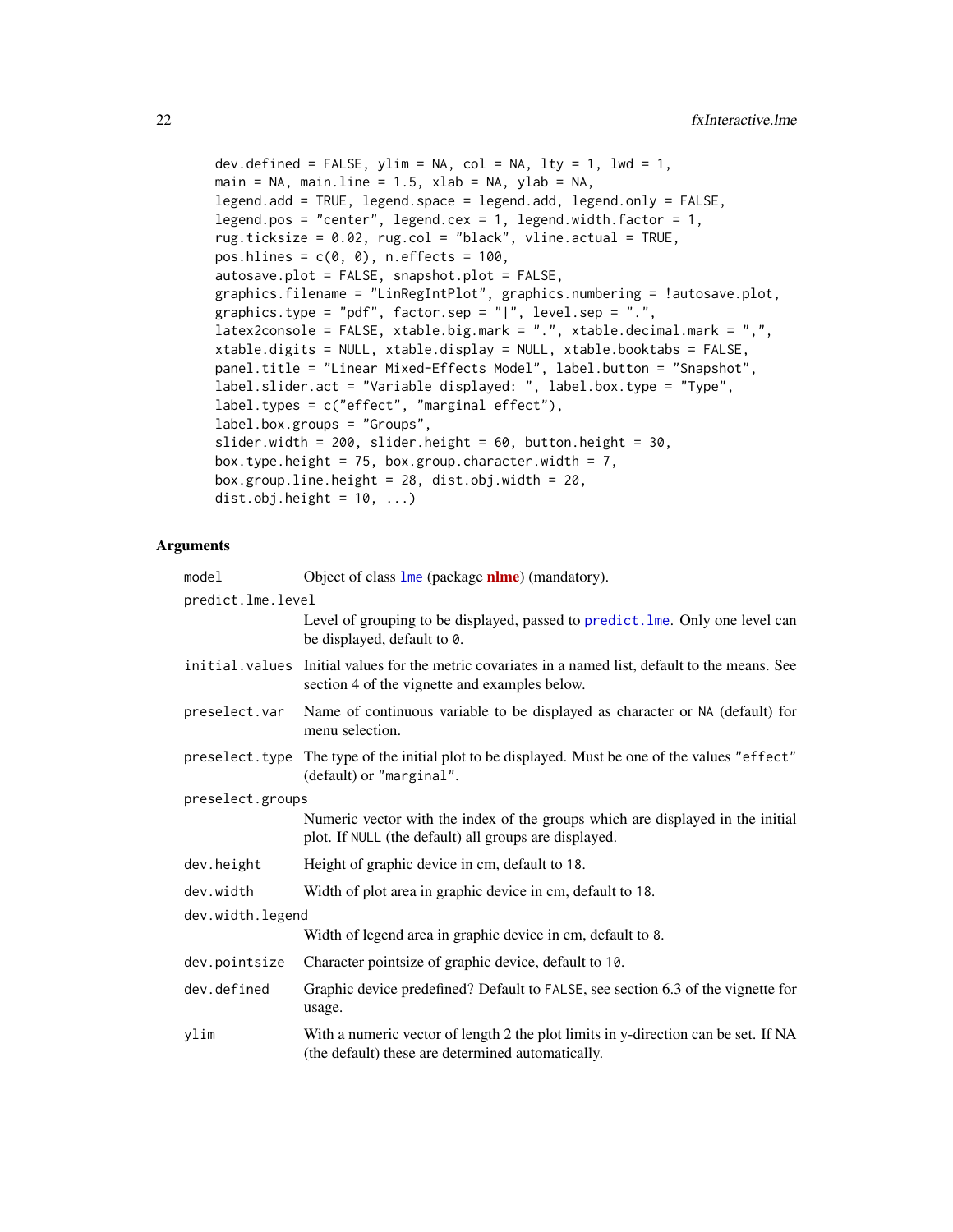```
dev.defined = FALSE, ylim = NA, col = NA, lty = 1, lwd = 1,
main = NA, main.line = 1.5, xlab = NA, ylab = NA,
legend.add = TRUE, legend.space = legend.add, legend.only = FALSE,
legend.pos = "center", legend.cex = 1, legend.width.factor = 1,
rug.ticksize = 0.02, rug.col = "black", vline.actual = TRUE,
pos.hlines = c(0, 0), n.effects = 100,
autosave.plot = FALSE, snapshot.plot = FALSE,
graphics.filename = "LinRegIntPlot", graphics.numbering = !autosave.plot,
graphics.type = "pdf", factor.sep = "|", level.sep = ".",
latex2console = FALSE, xtable.big.mark = ".", xtable.decimal.mark = ",",
xtable.digits = NULL, xtable.display = NULL, xtable.booktabs = FALSE,
panel.title = "Linear Mixed-Effects Model", label.button = "Snapshot",
label.slider.act = "Variable displayed: ", label.box.type = "Type",
label.types = c("effect", "marginal effect"),
label.box.groups = "Groups",
slider.width = 200, slider.height = 60, button.height = 30,
box.type.height = 75, box.group.character.width = 7,
box.group.line.height = 28, dist.obj.width = 20,
dist.obj.height = 10, ...)
```
# Arguments

| model            | Object of class lme (package nlme) (mandatory).                                                                                                      |  |  |
|------------------|------------------------------------------------------------------------------------------------------------------------------------------------------|--|--|
|                  | predict.lme.level                                                                                                                                    |  |  |
|                  | Level of grouping to be displayed, passed to predict. Ime. Only one level can<br>be displayed, default to 0.                                         |  |  |
|                  | initial. values Initial values for the metric covariates in a named list, default to the means. See<br>section 4 of the vignette and examples below. |  |  |
| preselect.var    | Name of continuous variable to be displayed as character or NA (default) for<br>menu selection.                                                      |  |  |
|                  | preselect. type The type of the initial plot to be displayed. Must be one of the values "effect"<br>(default) or "marginal".                         |  |  |
| preselect.groups |                                                                                                                                                      |  |  |
|                  | Numeric vector with the index of the groups which are displayed in the initial<br>plot. If NULL (the default) all groups are displayed.              |  |  |
| dev.height       | Height of graphic device in cm, default to 18.                                                                                                       |  |  |
| dev.width        | Width of plot area in graphic device in cm, default to 18.                                                                                           |  |  |
| dev.width.legend |                                                                                                                                                      |  |  |
|                  | Width of legend area in graphic device in cm, default to 8.                                                                                          |  |  |
| dev.pointsize    | Character pointsize of graphic device, default to 10.                                                                                                |  |  |
| dev.defined      | Graphic device predefined? Default to FALSE, see section 6.3 of the vignette for<br>usage.                                                           |  |  |
| ylim             | With a numeric vector of length 2 the plot limits in y-direction can be set. If NA<br>(the default) these are determined automatically.              |  |  |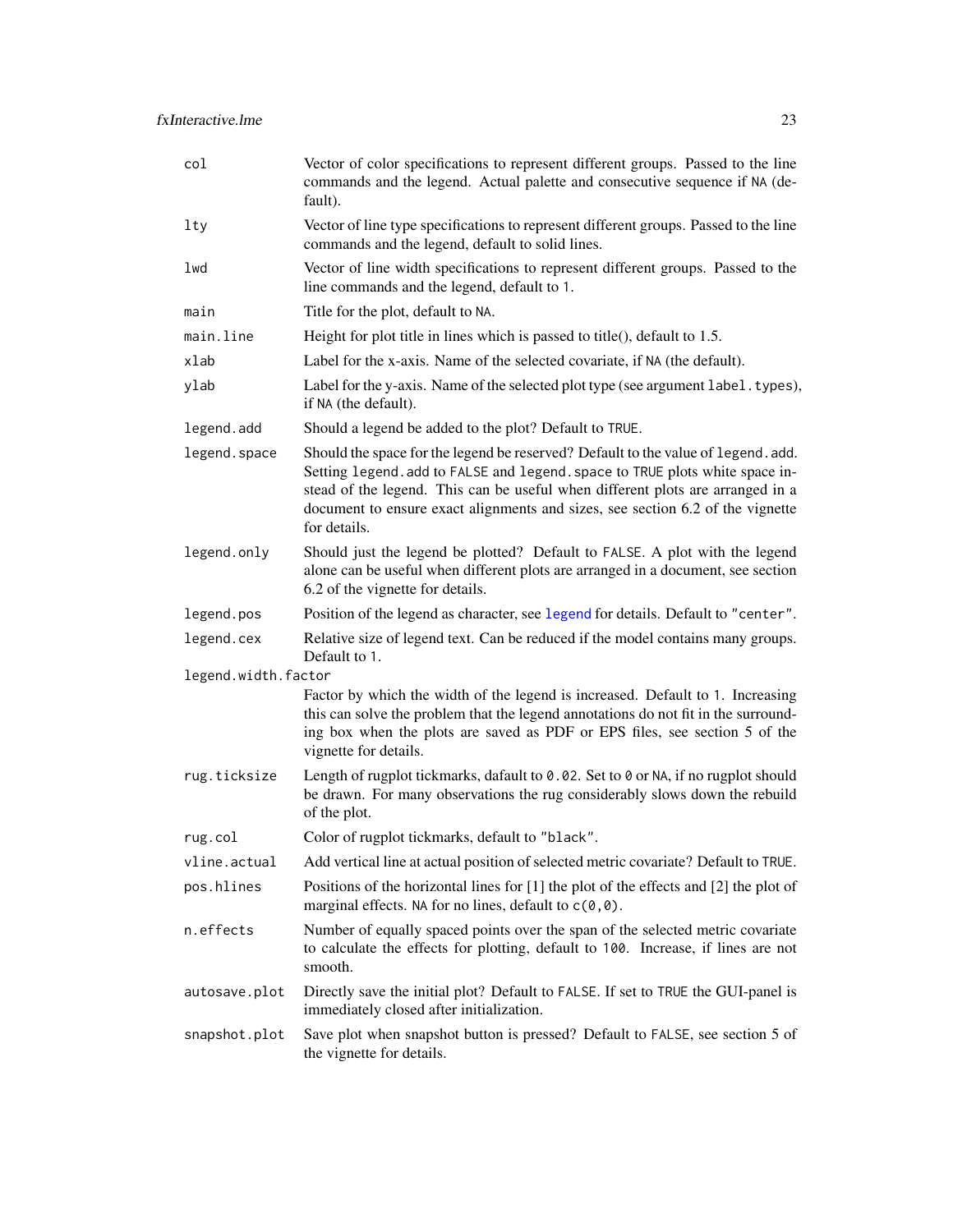<span id="page-22-0"></span>

| col                 | Vector of color specifications to represent different groups. Passed to the line<br>commands and the legend. Actual palette and consecutive sequence if NA (de-<br>fault).                                                                                                                                                                            |
|---------------------|-------------------------------------------------------------------------------------------------------------------------------------------------------------------------------------------------------------------------------------------------------------------------------------------------------------------------------------------------------|
| lty                 | Vector of line type specifications to represent different groups. Passed to the line<br>commands and the legend, default to solid lines.                                                                                                                                                                                                              |
| lwd                 | Vector of line width specifications to represent different groups. Passed to the<br>line commands and the legend, default to 1.                                                                                                                                                                                                                       |
| main                | Title for the plot, default to NA.                                                                                                                                                                                                                                                                                                                    |
| main.line           | Height for plot title in lines which is passed to title(), default to 1.5.                                                                                                                                                                                                                                                                            |
| xlab                | Label for the x-axis. Name of the selected covariate, if NA (the default).                                                                                                                                                                                                                                                                            |
| ylab                | Label for the y-axis. Name of the selected plot type (see argument label. types),<br>if NA (the default).                                                                                                                                                                                                                                             |
| legend.add          | Should a legend be added to the plot? Default to TRUE.                                                                                                                                                                                                                                                                                                |
| legend.space        | Should the space for the legend be reserved? Default to the value of legend. add.<br>Setting legend. add to FALSE and legend. space to TRUE plots white space in-<br>stead of the legend. This can be useful when different plots are arranged in a<br>document to ensure exact alignments and sizes, see section 6.2 of the vignette<br>for details. |
| legend.only         | Should just the legend be plotted? Default to FALSE. A plot with the legend<br>alone can be useful when different plots are arranged in a document, see section<br>6.2 of the vignette for details.                                                                                                                                                   |
| legend.pos          | Position of the legend as character, see legend for details. Default to "center".                                                                                                                                                                                                                                                                     |
| legend.cex          | Relative size of legend text. Can be reduced if the model contains many groups.<br>Default to 1.                                                                                                                                                                                                                                                      |
| legend.width.factor |                                                                                                                                                                                                                                                                                                                                                       |
|                     | Factor by which the width of the legend is increased. Default to 1. Increasing<br>this can solve the problem that the legend annotations do not fit in the surround-<br>ing box when the plots are saved as PDF or EPS files, see section 5 of the<br>vignette for details.                                                                           |
| rug.ticksize        | Length of rugplot tickmarks, dafault to 0.02. Set to 0 or NA, if no rugplot should<br>be drawn. For many observations the rug considerably slows down the rebuild<br>of the plot.                                                                                                                                                                     |
| rug.col             | Color of rugplot tickmarks, default to "black".                                                                                                                                                                                                                                                                                                       |
| vline.actual        | Add vertical line at actual position of selected metric covariate? Default to TRUE.                                                                                                                                                                                                                                                                   |
| pos.hlines          | Positions of the horizontal lines for [1] the plot of the effects and [2] the plot of<br>marginal effects. NA for no lines, default to $c(0,0)$ .                                                                                                                                                                                                     |
| n.effects           | Number of equally spaced points over the span of the selected metric covariate<br>to calculate the effects for plotting, default to 100. Increase, if lines are not<br>smooth.                                                                                                                                                                        |
| autosave.plot       | Directly save the initial plot? Default to FALSE. If set to TRUE the GUI-panel is<br>immediately closed after initialization.                                                                                                                                                                                                                         |
| snapshot.plot       | Save plot when snapshot button is pressed? Default to FALSE, see section 5 of<br>the vignette for details.                                                                                                                                                                                                                                            |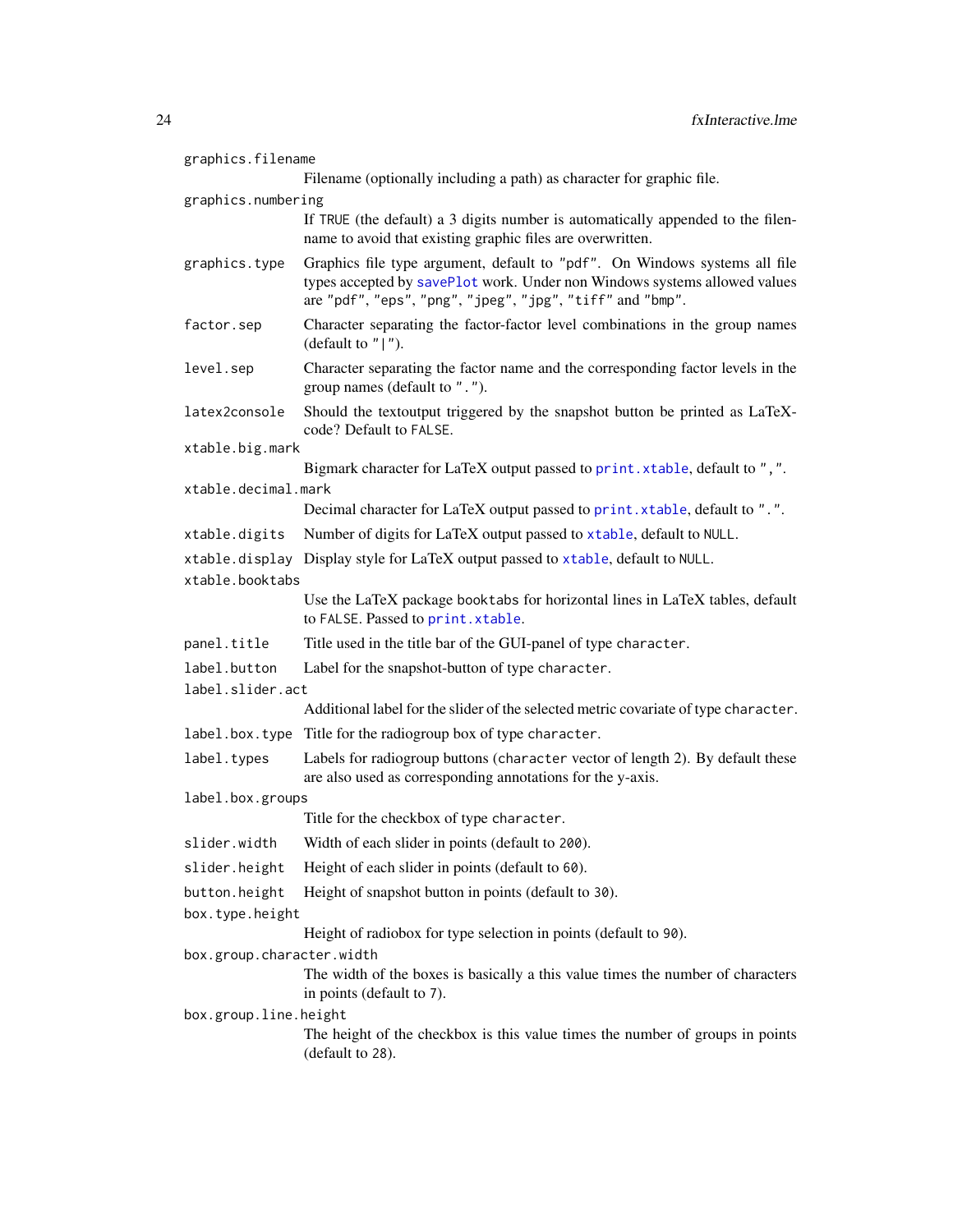<span id="page-23-0"></span>

| graphics.filename         |                                                                                                                                                                                                                      |  |
|---------------------------|----------------------------------------------------------------------------------------------------------------------------------------------------------------------------------------------------------------------|--|
|                           | Filename (optionally including a path) as character for graphic file.                                                                                                                                                |  |
| graphics.numbering        |                                                                                                                                                                                                                      |  |
|                           | If TRUE (the default) a 3 digits number is automatically appended to the filen-<br>name to avoid that existing graphic files are overwritten.                                                                        |  |
| graphics.type             | Graphics file type argument, default to "pdf". On Windows systems all file<br>types accepted by savePlot work. Under non Windows systems allowed values<br>are "pdf", "eps", "png", "jpeg", "jpg", "tiff" and "bmp". |  |
| factor.sep                | Character separating the factor-factor level combinations in the group names<br>(default to " $ $ ").                                                                                                                |  |
| level.sep                 | Character separating the factor name and the corresponding factor levels in the<br>group names (default to ".").                                                                                                     |  |
| latex2console             | Should the textoutput triggered by the snapshot button be printed as LaTeX-<br>code? Default to FALSE.                                                                                                               |  |
| xtable.big.mark           |                                                                                                                                                                                                                      |  |
| xtable.decimal.mark       | Bigmark character for LaTeX output passed to print. xtable, default to ", ".                                                                                                                                         |  |
|                           | Decimal character for LaTeX output passed to print. xtable, default to ".".                                                                                                                                          |  |
| xtable.digits             | Number of digits for LaTeX output passed to xtable, default to NULL.                                                                                                                                                 |  |
|                           | xtable.display Display style for LaTeX output passed to xtable, default to NULL.                                                                                                                                     |  |
| xtable.booktabs           |                                                                                                                                                                                                                      |  |
|                           | Use the LaTeX package booktabs for horizontal lines in LaTeX tables, default<br>to FALSE. Passed to print. xtable.                                                                                                   |  |
| panel.title               | Title used in the title bar of the GUI-panel of type character.                                                                                                                                                      |  |
| label.button              | Label for the snapshot-button of type character.                                                                                                                                                                     |  |
| label.slider.act          |                                                                                                                                                                                                                      |  |
|                           | Additional label for the slider of the selected metric covariate of type character.                                                                                                                                  |  |
|                           | label.box.type Title for the radiogroup box of type character.                                                                                                                                                       |  |
| label.types               | Labels for radiogroup buttons (character vector of length 2). By default these<br>are also used as corresponding annotations for the y-axis.                                                                         |  |
| label.box.groups          |                                                                                                                                                                                                                      |  |
|                           | Title for the checkbox of type character.                                                                                                                                                                            |  |
| slider.width              | Width of each slider in points (default to 200).                                                                                                                                                                     |  |
| slider.height             | Height of each slider in points (default to 60).                                                                                                                                                                     |  |
| button.height             | Height of snapshot button in points (default to 30).                                                                                                                                                                 |  |
| box.type.height           |                                                                                                                                                                                                                      |  |
|                           | Height of radiobox for type selection in points (default to 90).                                                                                                                                                     |  |
| box.group.character.width |                                                                                                                                                                                                                      |  |
|                           | The width of the boxes is basically a this value times the number of characters<br>in points (default to 7).                                                                                                         |  |
| box.group.line.height     |                                                                                                                                                                                                                      |  |
|                           | The height of the checkbox is this value times the number of groups in points<br>(default to 28).                                                                                                                    |  |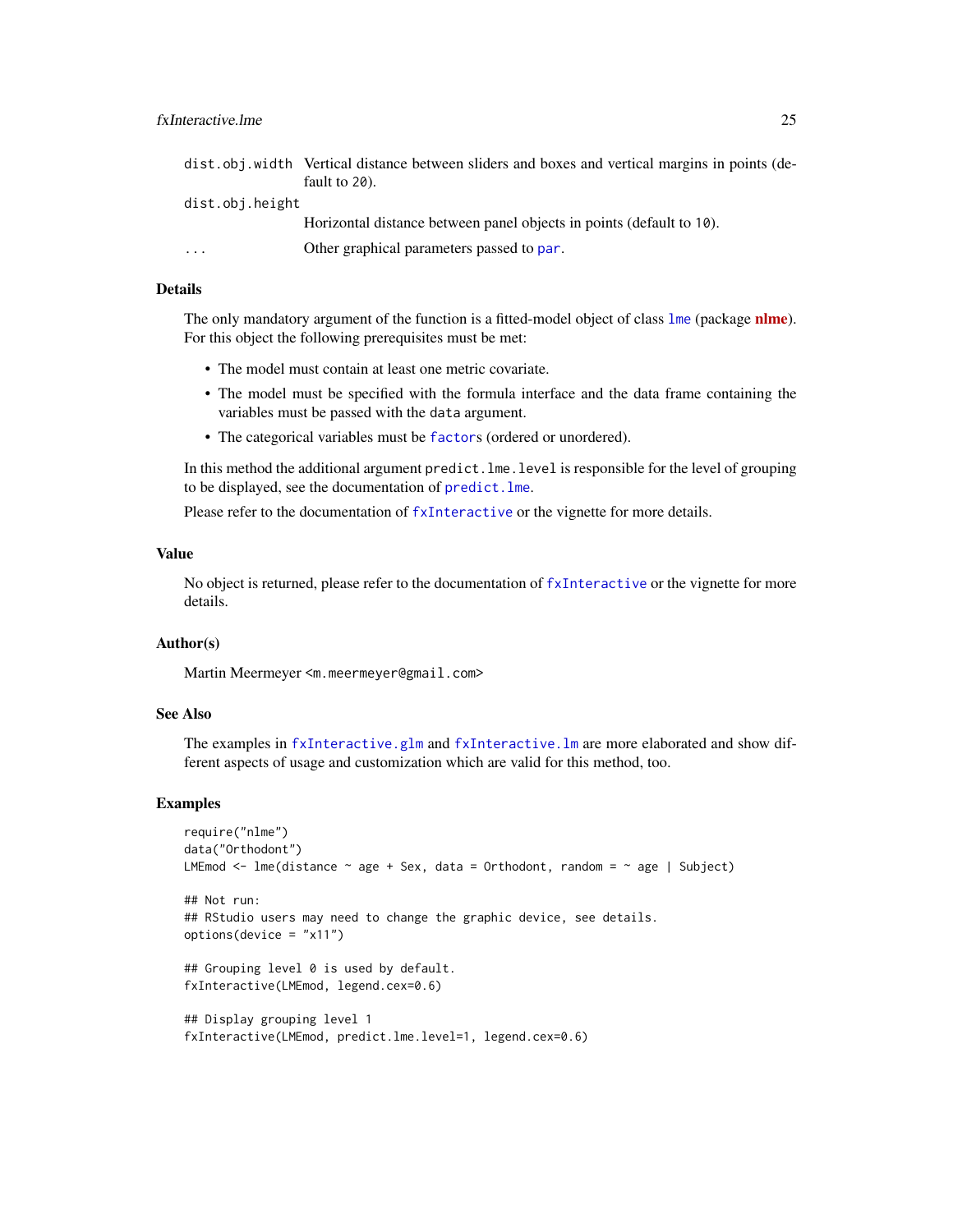<span id="page-24-0"></span>

|                 | dist.obj.width Vertical distance between sliders and boxes and vertical margins in points (de- |  |
|-----------------|------------------------------------------------------------------------------------------------|--|
|                 | fault to 20).                                                                                  |  |
| dist.obj.height |                                                                                                |  |
|                 | Horizontal distance between panel objects in points (default to 10).                           |  |
| $\ddotsc$       | Other graphical parameters passed to par.                                                      |  |

# Details

The only mandatory argument of the function is a fitted-model object of class [lme](#page-0-0) (package [nlme](https://CRAN.R-project.org/package=nlme)). For this object the following prerequisites must be met:

- The model must contain at least one metric covariate.
- The model must be specified with the formula interface and the data frame containing the variables must be passed with the data argument.
- The categorical variables must be [factor](#page-0-0)s (ordered or unordered).

In this method the additional argument predict.lme.level is responsible for the level of grouping to be displayed, see the documentation of [predict.lme](#page-0-0).

Please refer to the documentation of [fxInteractive](#page-5-1) or the vignette for more details.

# Value

No object is returned, please refer to the documentation of [fxInteractive](#page-5-1) or the vignette for more details.

## Author(s)

Martin Meermeyer <m.meermeyer@gmail.com>

# See Also

The examples in [fxInteractive.glm](#page-7-1) and [fxInteractive.lm](#page-14-1) are more elaborated and show different aspects of usage and customization which are valid for this method, too.

# Examples

```
require("nlme")
data("Orthodont")
LMEmod \leq lme(distance \sim age + Sex, data = Orthodont, random = \sim age | Subject)
## Not run:
## RStudio users may need to change the graphic device, see details.
options(device = "x11")
## Grouping level 0 is used by default.
fxInteractive(LMEmod, legend.cex=0.6)
## Display grouping level 1
```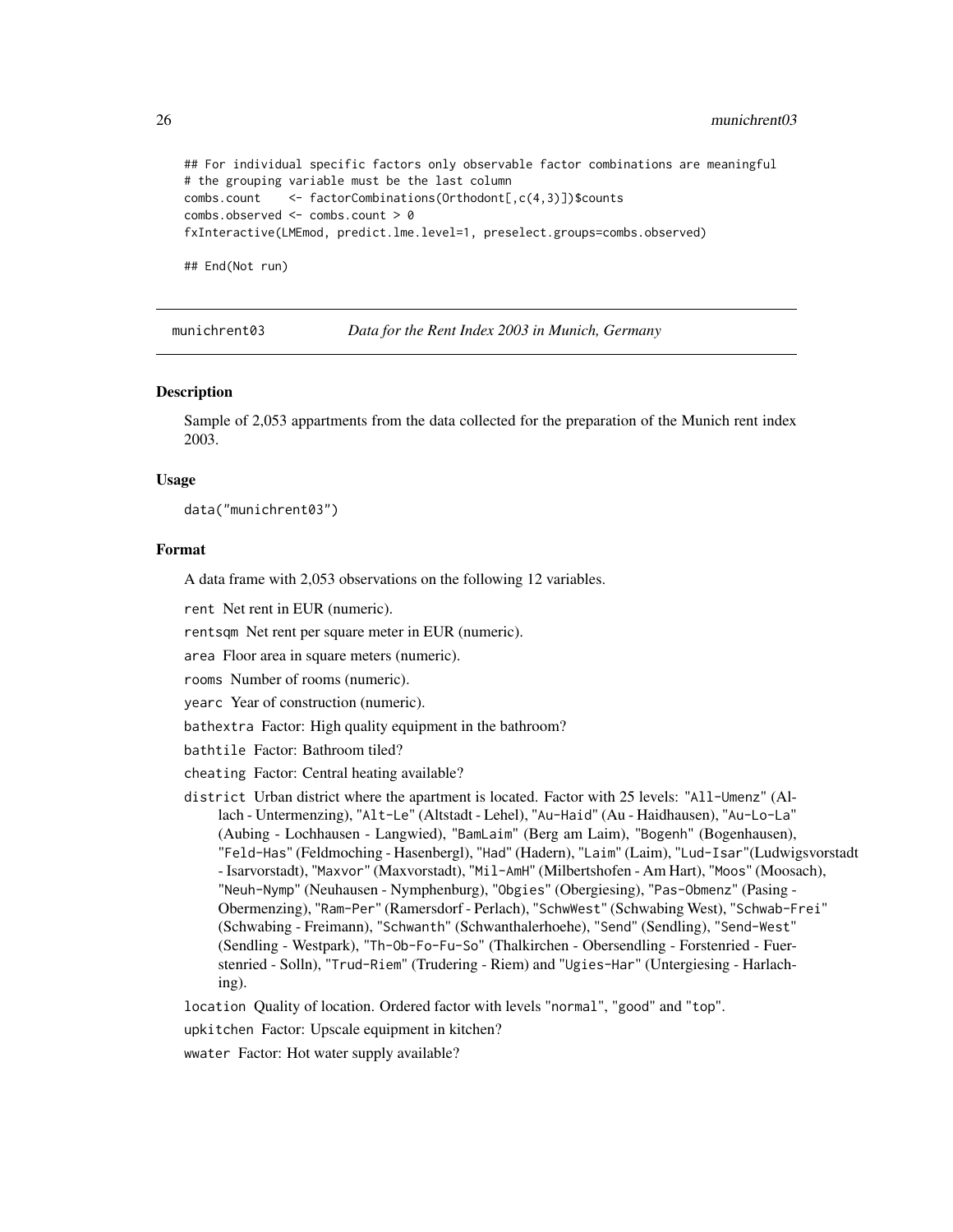## For individual specific factors only observable factor combinations are meaningful # the grouping variable must be the last column combs.count <- factorCombinations(Orthodont[,c(4,3)])\$counts combs.observed <- combs.count > 0 fxInteractive(LMEmod, predict.lme.level=1, preselect.groups=combs.observed) ## End(Not run)

munichrent03 *Data for the Rent Index 2003 in Munich, Germany*

#### Description

Sample of 2,053 appartments from the data collected for the preparation of the Munich rent index 2003.

# Usage

data("munichrent03")

# Format

A data frame with 2,053 observations on the following 12 variables.

rent Net rent in EUR (numeric).

rentsqm Net rent per square meter in EUR (numeric).

area Floor area in square meters (numeric).

rooms Number of rooms (numeric).

yearc Year of construction (numeric).

bathextra Factor: High quality equipment in the bathroom?

bathtile Factor: Bathroom tiled?

- cheating Factor: Central heating available?
- district Urban district where the apartment is located. Factor with 25 levels: "All-Umenz" (Allach - Untermenzing), "Alt-Le" (Altstadt - Lehel), "Au-Haid" (Au - Haidhausen), "Au-Lo-La" (Aubing - Lochhausen - Langwied), "BamLaim" (Berg am Laim), "Bogenh" (Bogenhausen), "Feld-Has" (Feldmoching - Hasenbergl), "Had" (Hadern), "Laim" (Laim), "Lud-Isar"(Ludwigsvorstadt - Isarvorstadt), "Maxvor" (Maxvorstadt), "Mil-AmH" (Milbertshofen - Am Hart), "Moos" (Moosach), "Neuh-Nymp" (Neuhausen - Nymphenburg), "Obgies" (Obergiesing), "Pas-Obmenz" (Pasing - Obermenzing), "Ram-Per" (Ramersdorf - Perlach), "SchwWest" (Schwabing West), "Schwab-Frei" (Schwabing - Freimann), "Schwanth" (Schwanthalerhoehe), "Send" (Sendling), "Send-West" (Sendling - Westpark), "Th-Ob-Fo-Fu-So" (Thalkirchen - Obersendling - Forstenried - Fuerstenried - Solln), "Trud-Riem" (Trudering - Riem) and "Ugies-Har" (Untergiesing - Harlaching).

location Quality of location. Ordered factor with levels "normal", "good" and "top".

upkitchen Factor: Upscale equipment in kitchen?

wwater Factor: Hot water supply available?

<span id="page-25-0"></span>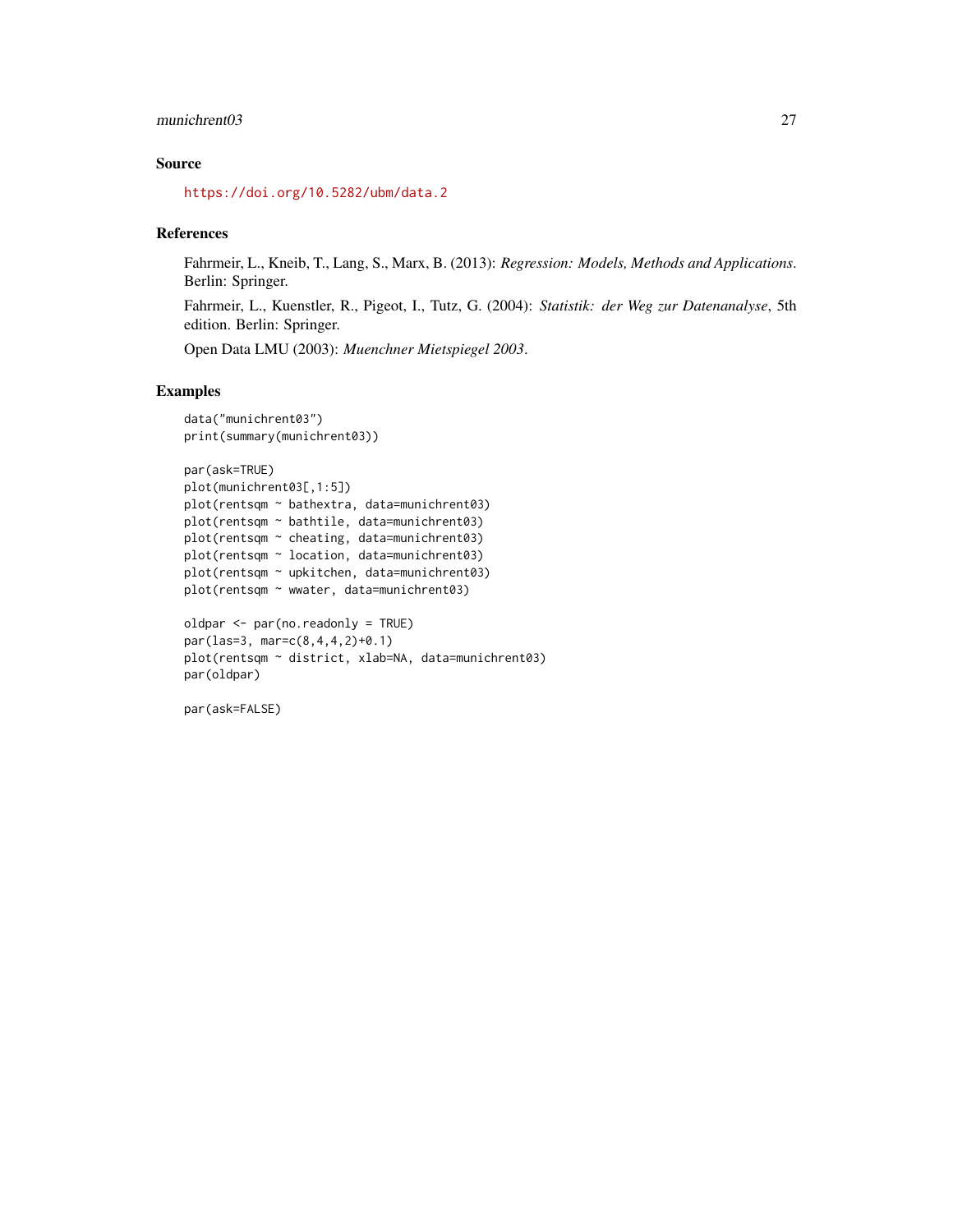# munichrent03 27

# Source

<https://doi.org/10.5282/ubm/data.2>

# References

Fahrmeir, L., Kneib, T., Lang, S., Marx, B. (2013): *Regression: Models, Methods and Applications*. Berlin: Springer.

Fahrmeir, L., Kuenstler, R., Pigeot, I., Tutz, G. (2004): *Statistik: der Weg zur Datenanalyse*, 5th edition. Berlin: Springer.

Open Data LMU (2003): *Muenchner Mietspiegel 2003*.

# Examples

```
data("munichrent03")
print(summary(munichrent03))
par(ask=TRUE)
plot(munichrent03[,1:5])
plot(rentsqm ~ bathextra, data=munichrent03)
plot(rentsqm ~ bathtile, data=munichrent03)
plot(rentsqm ~ cheating, data=munichrent03)
plot(rentsqm ~ location, data=munichrent03)
plot(rentsqm ~ upkitchen, data=munichrent03)
plot(rentsqm ~ wwater, data=munichrent03)
oldpar <- par(no.readonly = TRUE)
par(las=3, mar=c(8,4,4,2)+0.1)
```

```
plot(rentsqm ~ district, xlab=NA, data=munichrent03)
par(oldpar)
```
par(ask=FALSE)